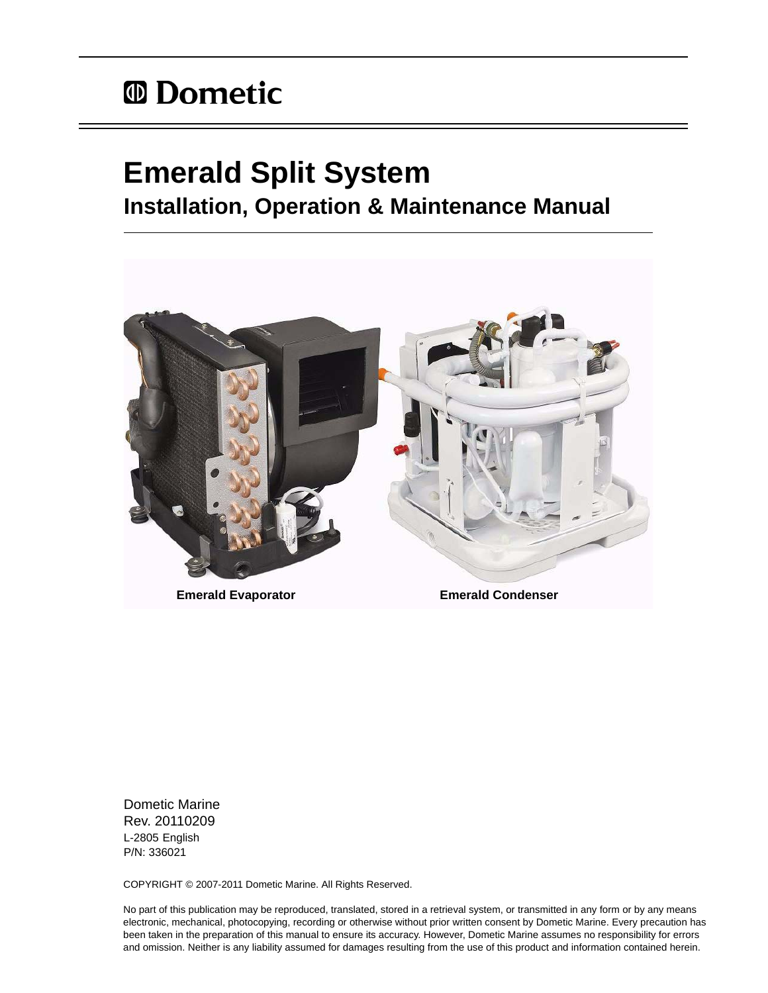# *<sup>ID</sup>* Dometic

# **Emerald Split System Installation, Operation & Maintenance Manual**



Dometic Marine Rev. 20110209 L-2805 English P/N: 336021

COPYRIGHT © 2007-2011 Dometic Marine. All Rights Reserved.

No part of this publication may be reproduced, translated, stored in a retrieval system, or transmitted in any form or by any means electronic, mechanical, photocopying, recording or otherwise without prior written consent by Dometic Marine. Every precaution has been taken in the preparation of this manual to ensure its accuracy. However, Dometic Marine assumes no responsibility for errors and omission. Neither is any liability assumed for damages resulting from the use of this product and information contained herein.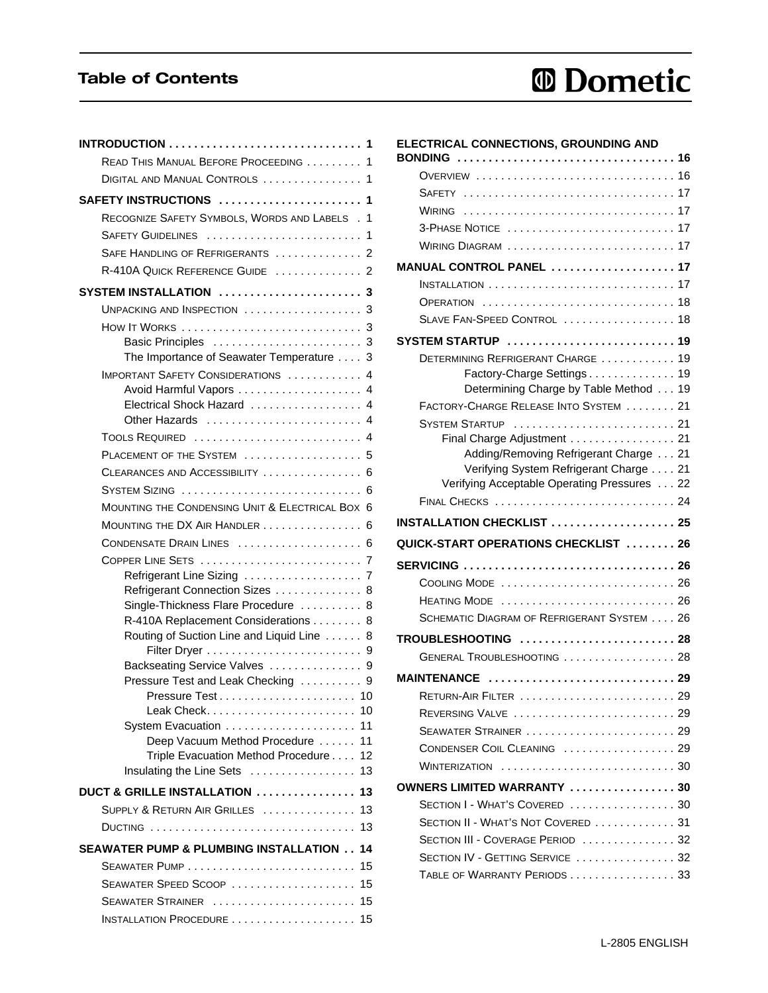## Table of Contents

# *<sup>ID</sup>* Dometic

| READ THIS MANUAL BEFORE PROCEEDING 1                                                                           |    |
|----------------------------------------------------------------------------------------------------------------|----|
| DIGITAL AND MANUAL CONTROLS  1                                                                                 |    |
| SAFETY INSTRUCTIONS  1                                                                                         |    |
| RECOGNIZE SAFETY SYMBOLS, WORDS AND LABELS . 1                                                                 |    |
| SAFETY GUIDELINES  1                                                                                           |    |
| SAFE HANDLING OF REFRIGERANTS  2                                                                               |    |
| R-410A QUICK REFERENCE GUIDE  2                                                                                |    |
| SYSTEM INSTALLATION  3                                                                                         |    |
| UNPACKING AND INSPECTION  3                                                                                    |    |
| How It WORKS $\ldots \ldots \ldots \ldots \ldots \ldots \ldots$                                                |    |
|                                                                                                                |    |
| The Importance of Seawater Temperature 3                                                                       |    |
| <b>IMPORTANT SAFETY CONSIDERATIONS  4</b>                                                                      |    |
| Avoid Harmful Vapors  4                                                                                        |    |
| Electrical Shock Hazard  4                                                                                     |    |
|                                                                                                                |    |
| <b>TOOLS REQUIRED</b> 4                                                                                        |    |
| PLACEMENT OF THE SYSTEM  5                                                                                     |    |
| CLEARANCES AND ACCESSIBILITY  6                                                                                |    |
|                                                                                                                |    |
| MOUNTING THE CONDENSING UNIT & ELECTRICAL BOX 6                                                                |    |
| MOUNTING THE DX AIR HANDLER  6                                                                                 |    |
| CONDENSATE DRAIN LINES  6                                                                                      |    |
|                                                                                                                |    |
|                                                                                                                |    |
| Refrigerant Connection Sizes  8                                                                                |    |
| Single-Thickness Flare Procedure  8                                                                            |    |
| R-410A Replacement Considerations 8<br>Routing of Suction Line and Liquid Line 8                               |    |
|                                                                                                                |    |
| Backseating Service Valves  9                                                                                  |    |
| Pressure Test and Leak Checking  9                                                                             |    |
| Pressure Test<br>. 10                                                                                          |    |
| Leak Check                                                                                                     | 10 |
|                                                                                                                | 11 |
| Deep Vacuum Method Procedure                                                                                   | 11 |
| Triple Evacuation Method Procedure                                                                             | 12 |
| Insulating the Line Sets                                                                                       | 13 |
| DUCT & GRILLE INSTALLATION $\ldots \ldots \ldots \ldots$                                                       | 13 |
| SUPPLY & RETURN AIR GRILLES                                                                                    | 13 |
| DUCTING                                                                                                        | 13 |
| SEAWATER PUMP & PLUMBING INSTALLATION                                                                          | 14 |
| ${\sf SEAWATER}$ ${\sf PUMP}$ $\ldots$ $\ldots$ $\ldots$ $\ldots$ $\ldots$ $\ldots$ $\ldots$ $\ldots$ $\ldots$ | 15 |
| Seawater Speed Scoop $\,\dots\, \dots\, \dots\, \dots\, \dots\, \dots\,$                                       | 15 |
| SEAWATER STRAINER                                                                                              | 15 |
|                                                                                                                |    |

| ELECTRICAL CONNECTIONS, GROUNDING AND<br><b>BONDING</b>                         |  |
|---------------------------------------------------------------------------------|--|
| OVERVIEW  16                                                                    |  |
|                                                                                 |  |
| WIRING                                                                          |  |
| 3-PHASE NOTICE  17                                                              |  |
| WIRING DIAGRAM  17                                                              |  |
| MANUAL CONTROL PANEL  17                                                        |  |
| <b>INSTALLATION</b> 17                                                          |  |
| OPERATION  18                                                                   |  |
| SLAVE FAN-SPEED CONTROL  18                                                     |  |
| SYSTEM STARTUP  19                                                              |  |
| DETERMINING REFRIGERANT CHARGE  19                                              |  |
| Factory-Charge Settings 19                                                      |  |
| Determining Charge by Table Method 19                                           |  |
| FACTORY-CHARGE RELEASE INTO SYSTEM 21                                           |  |
| SYSTEM STARTUP  21                                                              |  |
| Final Charge Adjustment 21                                                      |  |
| Adding/Removing Refrigerant Charge 21<br>Verifying System Refrigerant Charge 21 |  |
| Verifying Acceptable Operating Pressures 22                                     |  |
|                                                                                 |  |
|                                                                                 |  |
| INSTALLATION CHECKLIST  25                                                      |  |
| QUICK-START OPERATIONS CHECKLIST  26                                            |  |
| SERVICING  26                                                                   |  |
| COOLING MODE  26                                                                |  |
|                                                                                 |  |
| HEATING MODE  26<br>SCHEMATIC DIAGRAM OF REFRIGERANT SYSTEM 26                  |  |
| TROUBLESHOOTING  28                                                             |  |
| GENERAL TROUBLESHOOTING  28                                                     |  |
|                                                                                 |  |
| MAINTENANCE  29                                                                 |  |
|                                                                                 |  |
| REVERSING VALVE  29                                                             |  |
| SEAWATER STRAINER  29                                                           |  |
| CONDENSER COIL CLEANING  29                                                     |  |
| WINTERIZATION  30                                                               |  |
| OWNERS LIMITED WARRANTY 30                                                      |  |
| SECTION I - WHAT'S COVERED  30                                                  |  |
| SECTION II - WHAT'S NOT COVERED  31                                             |  |
| SECTION III - COVERAGE PERIOD  32                                               |  |
| SECTION IV - GETTING SERVICE  32<br>TABLE OF WARRANTY PERIODS 33                |  |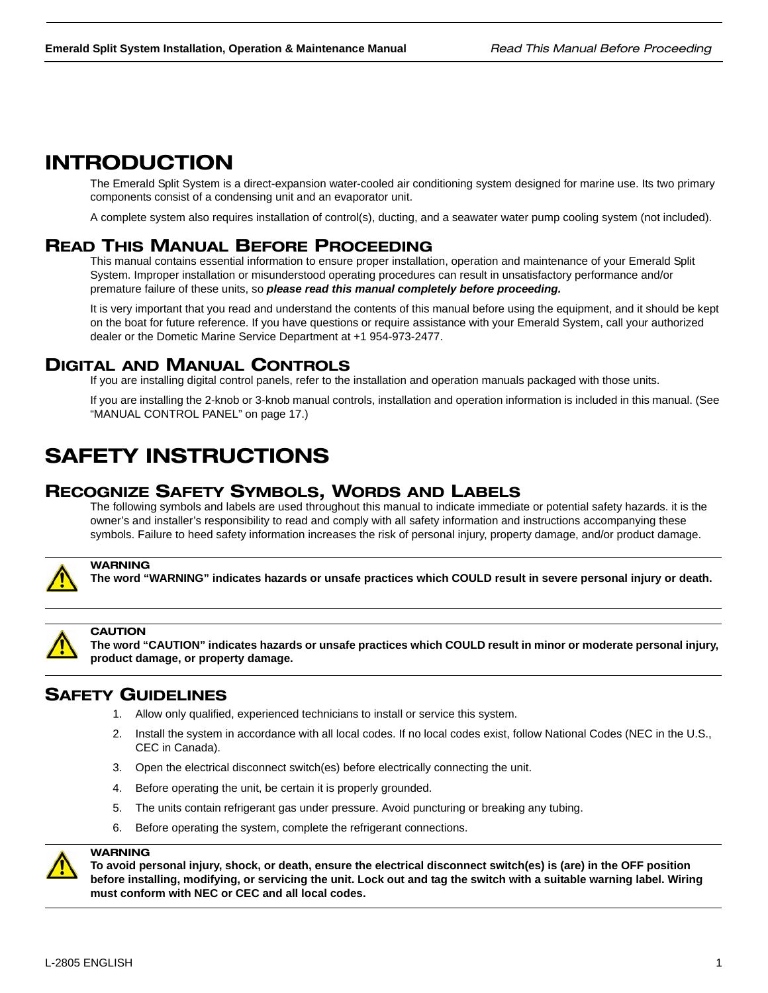## INTRODUCTION

The Emerald Split System is a direct-expansion water-cooled air conditioning system designed for marine use. Its two primary components consist of a condensing unit and an evaporator unit.

A complete system also requires installation of control(s), ducting, and a seawater water pump cooling system (not included).

## READ THIS MANUAL BEFORE PROCEEDING

This manual contains essential information to ensure proper installation, operation and maintenance of your Emerald Split System. Improper installation or misunderstood operating procedures can result in unsatisfactory performance and/or premature failure of these units, so *please read this manual completely before proceeding.*

It is very important that you read and understand the contents of this manual before using the equipment, and it should be kept on the boat for future reference. If you have questions or require assistance with your Emerald System, call your authorized dealer or the Dometic Marine Service Department at +1 954-973-2477.

## DIGITAL AND MANUAL CONTROLS

If you are installing digital control panels, refer to the installation and operation manuals packaged with those units.

If you are installing the 2-knob or 3-knob manual controls, installation and operation information is included in this manual. (See "MANUAL CONTROL PANEL" on page 17.)

## SAFETY INSTRUCTIONS

## RECOGNIZE SAFETY SYMBOLS, WORDS AND LABELS

The following symbols and labels are used throughout this manual to indicate immediate or potential safety hazards. it is the owner's and installer's responsibility to read and comply with all safety information and instructions accompanying these symbols. Failure to heed safety information increases the risk of personal injury, property damage, and/or product damage.



### WARNING

**The word "WARNING" indicates hazards or unsafe practices which COULD result in severe personal injury or death.**



#### **CAUTION**

**The word "CAUTION" indicates hazards or unsafe practices which COULD result in minor or moderate personal injury, product damage, or property damage.**

## SAFETY GUIDELINES

- 1. Allow only qualified, experienced technicians to install or service this system.
- 2. Install the system in accordance with all local codes. If no local codes exist, follow National Codes (NEC in the U.S., CEC in Canada).
- 3. Open the electrical disconnect switch(es) before electrically connecting the unit.
- 4. Before operating the unit, be certain it is properly grounded.
- 5. The units contain refrigerant gas under pressure. Avoid puncturing or breaking any tubing.
- 6. Before operating the system, complete the refrigerant connections.



### **WARNING**

**To avoid personal injury, shock, or death, ensure the electrical disconnect switch(es) is (are) in the OFF position before installing, modifying, or servicing the unit. Lock out and tag the switch with a suitable warning label. Wiring must conform with NEC or CEC and all local codes.**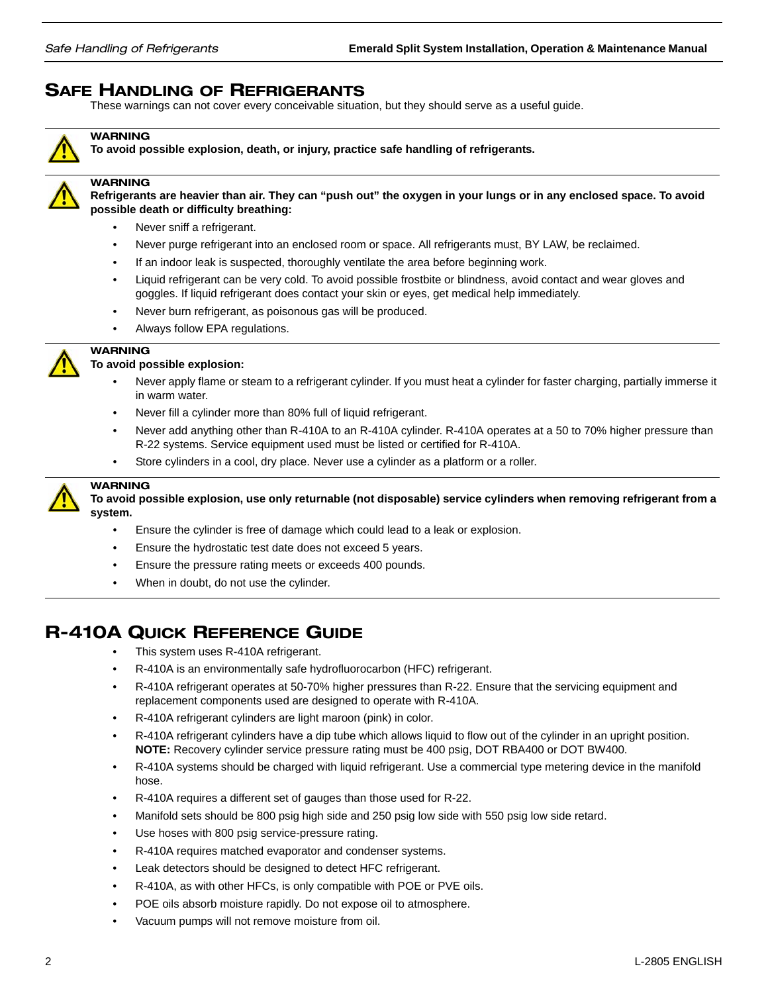## SAFE HANDLING OF REFRIGERANTS

These warnings can not cover every conceivable situation, but they should serve as a useful guide.



### **WARNING**

**To avoid possible explosion, death, or injury, practice safe handling of refrigerants.**



### **WARNING**

**Refrigerants are heavier than air. They can "push out" the oxygen in your lungs or in any enclosed space. To avoid possible death or difficulty breathing:**

- Never sniff a refrigerant.
- Never purge refrigerant into an enclosed room or space. All refrigerants must, BY LAW, be reclaimed.
- If an indoor leak is suspected, thoroughly ventilate the area before beginning work.
- Liquid refrigerant can be very cold. To avoid possible frostbite or blindness, avoid contact and wear gloves and goggles. If liquid refrigerant does contact your skin or eyes, get medical help immediately.
- Never burn refrigerant, as poisonous gas will be produced.
- Always follow EPA regulations.



### **To avoid possible explosion:**

- Never apply flame or steam to a refrigerant cylinder. If you must heat a cylinder for faster charging, partially immerse it in warm water.
- Never fill a cylinder more than 80% full of liquid refrigerant.
- Never add anything other than R-410A to an R-410A cylinder. R-410A operates at a 50 to 70% higher pressure than R-22 systems. Service equipment used must be listed or certified for R-410A.
- Store cylinders in a cool, dry place. Never use a cylinder as a platform or a roller.



### WARNING

WARNING

**To avoid possible explosion, use only returnable (not disposable) service cylinders when removing refrigerant from a system.**

- Ensure the cylinder is free of damage which could lead to a leak or explosion.
- Ensure the hydrostatic test date does not exceed 5 years.
- Ensure the pressure rating meets or exceeds 400 pounds.
- When in doubt, do not use the cylinder.

## R-410A QUICK REFERENCE GUIDE

- This system uses R-410A refrigerant.
- R-410A is an environmentally safe hydrofluorocarbon (HFC) refrigerant.
- R-410A refrigerant operates at 50-70% higher pressures than R-22. Ensure that the servicing equipment and replacement components used are designed to operate with R-410A.
- R-410A refrigerant cylinders are light maroon (pink) in color.
- R-410A refrigerant cylinders have a dip tube which allows liquid to flow out of the cylinder in an upright position. **NOTE:** Recovery cylinder service pressure rating must be 400 psig, DOT RBA400 or DOT BW400.
- R-410A systems should be charged with liquid refrigerant. Use a commercial type metering device in the manifold hose.
- R-410A requires a different set of gauges than those used for R-22.
- Manifold sets should be 800 psig high side and 250 psig low side with 550 psig low side retard.
- Use hoses with 800 psig service-pressure rating.
- R-410A requires matched evaporator and condenser systems.
- Leak detectors should be designed to detect HFC refrigerant.
- R-410A, as with other HFCs, is only compatible with POE or PVE oils.
- POE oils absorb moisture rapidly. Do not expose oil to atmosphere.
- Vacuum pumps will not remove moisture from oil.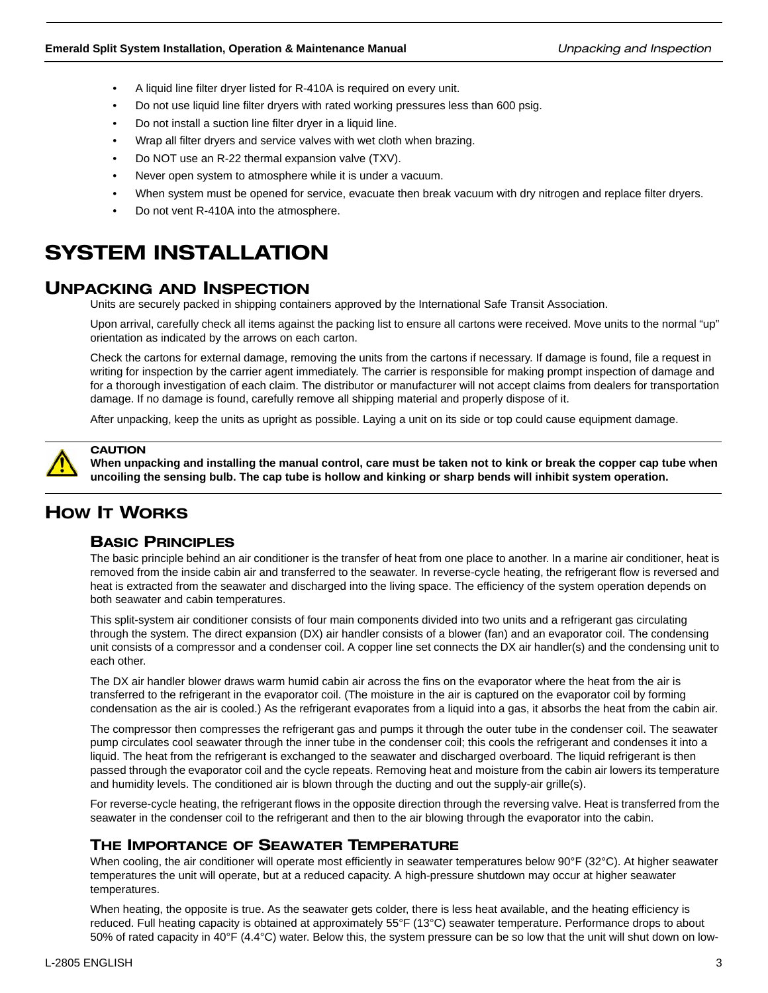- A liquid line filter dryer listed for R-410A is required on every unit.
- Do not use liquid line filter dryers with rated working pressures less than 600 psig.
- Do not install a suction line filter dryer in a liquid line.
- Wrap all filter dryers and service valves with wet cloth when brazing.
- Do NOT use an R-22 thermal expansion valve (TXV).
- Never open system to atmosphere while it is under a vacuum.
- When system must be opened for service, evacuate then break vacuum with dry nitrogen and replace filter dryers.
- Do not vent R-410A into the atmosphere.

## SYSTEM INSTALLATION

## UNPACKING AND INSPECTION

Units are securely packed in shipping containers approved by the International Safe Transit Association.

Upon arrival, carefully check all items against the packing list to ensure all cartons were received. Move units to the normal "up" orientation as indicated by the arrows on each carton.

Check the cartons for external damage, removing the units from the cartons if necessary. If damage is found, file a request in writing for inspection by the carrier agent immediately. The carrier is responsible for making prompt inspection of damage and for a thorough investigation of each claim. The distributor or manufacturer will not accept claims from dealers for transportation damage. If no damage is found, carefully remove all shipping material and properly dispose of it.

After unpacking, keep the units as upright as possible. Laying a unit on its side or top could cause equipment damage.



### **CAUTION**

**When unpacking and installing the manual control, care must be taken not to kink or break the copper cap tube when uncoiling the sensing bulb. The cap tube is hollow and kinking or sharp bends will inhibit system operation.**

## HOW IT WORKS

### BASIC PRINCIPLES

The basic principle behind an air conditioner is the transfer of heat from one place to another. In a marine air conditioner, heat is removed from the inside cabin air and transferred to the seawater. In reverse-cycle heating, the refrigerant flow is reversed and heat is extracted from the seawater and discharged into the living space. The efficiency of the system operation depends on both seawater and cabin temperatures.

This split-system air conditioner consists of four main components divided into two units and a refrigerant gas circulating through the system. The direct expansion (DX) air handler consists of a blower (fan) and an evaporator coil. The condensing unit consists of a compressor and a condenser coil. A copper line set connects the DX air handler(s) and the condensing unit to each other.

The DX air handler blower draws warm humid cabin air across the fins on the evaporator where the heat from the air is transferred to the refrigerant in the evaporator coil. (The moisture in the air is captured on the evaporator coil by forming condensation as the air is cooled.) As the refrigerant evaporates from a liquid into a gas, it absorbs the heat from the cabin air.

The compressor then compresses the refrigerant gas and pumps it through the outer tube in the condenser coil. The seawater pump circulates cool seawater through the inner tube in the condenser coil; this cools the refrigerant and condenses it into a liquid. The heat from the refrigerant is exchanged to the seawater and discharged overboard. The liquid refrigerant is then passed through the evaporator coil and the cycle repeats. Removing heat and moisture from the cabin air lowers its temperature and humidity levels. The conditioned air is blown through the ducting and out the supply-air grille(s).

For reverse-cycle heating, the refrigerant flows in the opposite direction through the reversing valve. Heat is transferred from the seawater in the condenser coil to the refrigerant and then to the air blowing through the evaporator into the cabin.

### THE IMPORTANCE OF SEAWATER TEMPERATURE

When cooling, the air conditioner will operate most efficiently in seawater temperatures below 90°F (32°C). At higher seawater temperatures the unit will operate, but at a reduced capacity. A high-pressure shutdown may occur at higher seawater temperatures.

When heating, the opposite is true. As the seawater gets colder, there is less heat available, and the heating efficiency is reduced. Full heating capacity is obtained at approximately 55°F (13°C) seawater temperature. Performance drops to about 50% of rated capacity in 40°F (4.4°C) water. Below this, the system pressure can be so low that the unit will shut down on low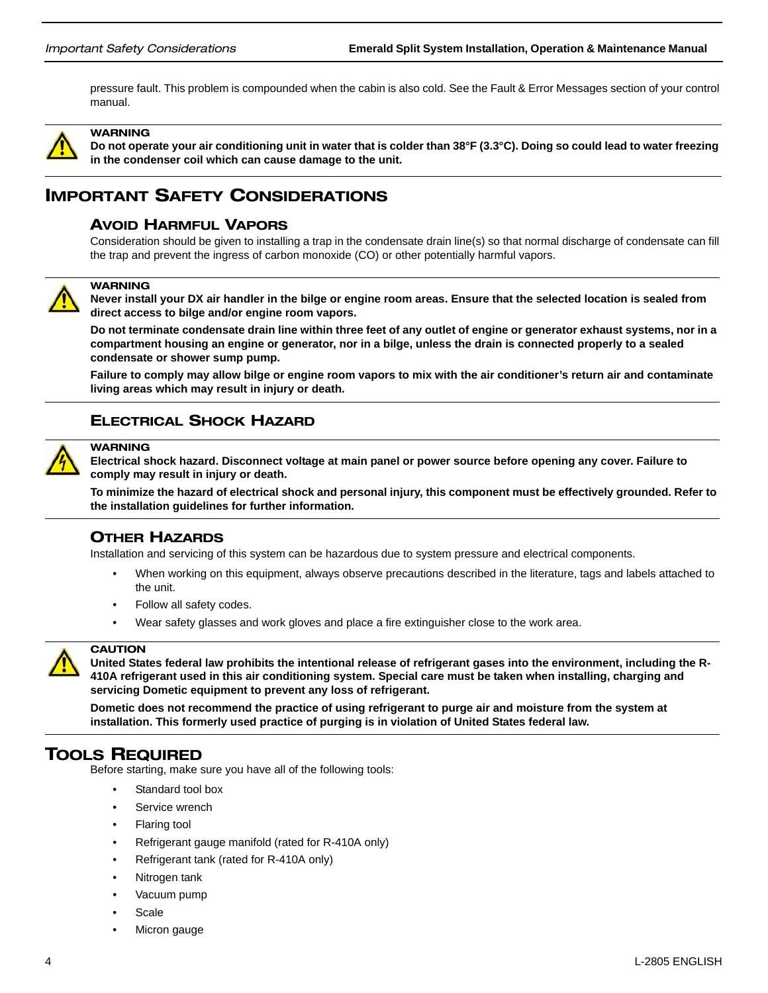pressure fault. This problem is compounded when the cabin is also cold. See the Fault & Error Messages section of your control manual.



WARNING

**Do not operate your air conditioning unit in water that is colder than 38°F (3.3°C). Doing so could lead to water freezing in the condenser coil which can cause damage to the unit.**

## IMPORTANT SAFETY CONSIDERATIONS

### AVOID HARMFUL VAPORS

Consideration should be given to installing a trap in the condensate drain line(s) so that normal discharge of condensate can fill the trap and prevent the ingress of carbon monoxide (CO) or other potentially harmful vapors.



#### **WARNING**

**Never install your DX air handler in the bilge or engine room areas. Ensure that the selected location is sealed from direct access to bilge and/or engine room vapors.** 

**Do not terminate condensate drain line within three feet of any outlet of engine or generator exhaust systems, nor in a compartment housing an engine or generator, nor in a bilge, unless the drain is connected properly to a sealed condensate or shower sump pump.** 

**Failure to comply may allow bilge or engine room vapors to mix with the air conditioner's return air and contaminate living areas which may result in injury or death.**

### ELECTRICAL SHOCK HAZARD



#### **WARNING**

**Electrical shock hazard. Disconnect voltage at main panel or power source before opening any cover. Failure to comply may result in injury or death.**

**To minimize the hazard of electrical shock and personal injury, this component must be effectively grounded. Refer to the installation guidelines for further information.**

### OTHER HAZARDS

Installation and servicing of this system can be hazardous due to system pressure and electrical components.

- When working on this equipment, always observe precautions described in the literature, tags and labels attached to the unit.
- Follow all safety codes.
- Wear safety glasses and work gloves and place a fire extinguisher close to the work area.



### **CAUTION**

**United States federal law prohibits the intentional release of refrigerant gases into the environment, including the R-410A refrigerant used in this air conditioning system. Special care must be taken when installing, charging and servicing Dometic equipment to prevent any loss of refrigerant.** 

**Dometic does not recommend the practice of using refrigerant to purge air and moisture from the system at installation. This formerly used practice of purging is in violation of United States federal law.** 

### TOOLS REQUIRED

Before starting, make sure you have all of the following tools:

- Standard tool box
- Service wrench
- Flaring tool
- Refrigerant gauge manifold (rated for R-410A only)
- Refrigerant tank (rated for R-410A only)
- Nitrogen tank
- Vacuum pump
- **Scale**
- Micron gauge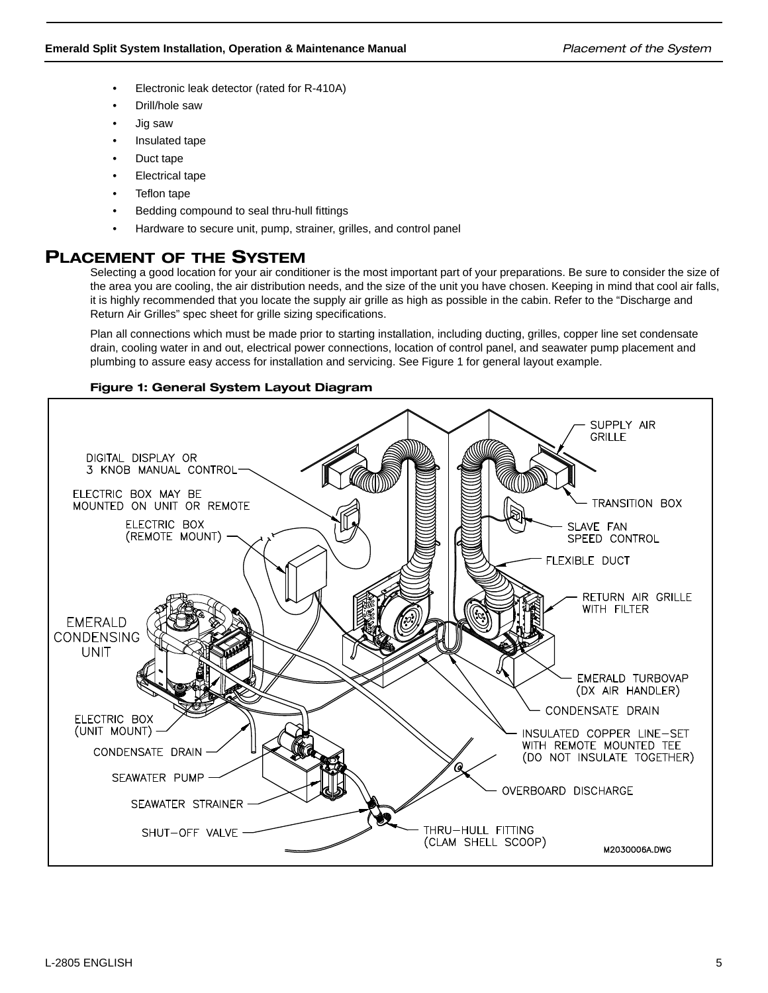- Electronic leak detector (rated for R-410A)
- Drill/hole saw
- Jig saw
- Insulated tape
- Duct tape
- Electrical tape
- Teflon tape
- Bedding compound to seal thru-hull fittings
- Hardware to secure unit, pump, strainer, grilles, and control panel

## PLACEMENT OF THE SYSTEM

Selecting a good location for your air conditioner is the most important part of your preparations. Be sure to consider the size of the area you are cooling, the air distribution needs, and the size of the unit you have chosen. Keeping in mind that cool air falls, it is highly recommended that you locate the supply air grille as high as possible in the cabin. Refer to the "Discharge and Return Air Grilles" spec sheet for grille sizing specifications.

Plan all connections which must be made prior to starting installation, including ducting, grilles, copper line set condensate drain, cooling water in and out, electrical power connections, location of control panel, and seawater pump placement and plumbing to assure easy access for installation and servicing. See Figure 1 for general layout example.

### Figure 1: General System Layout Diagram

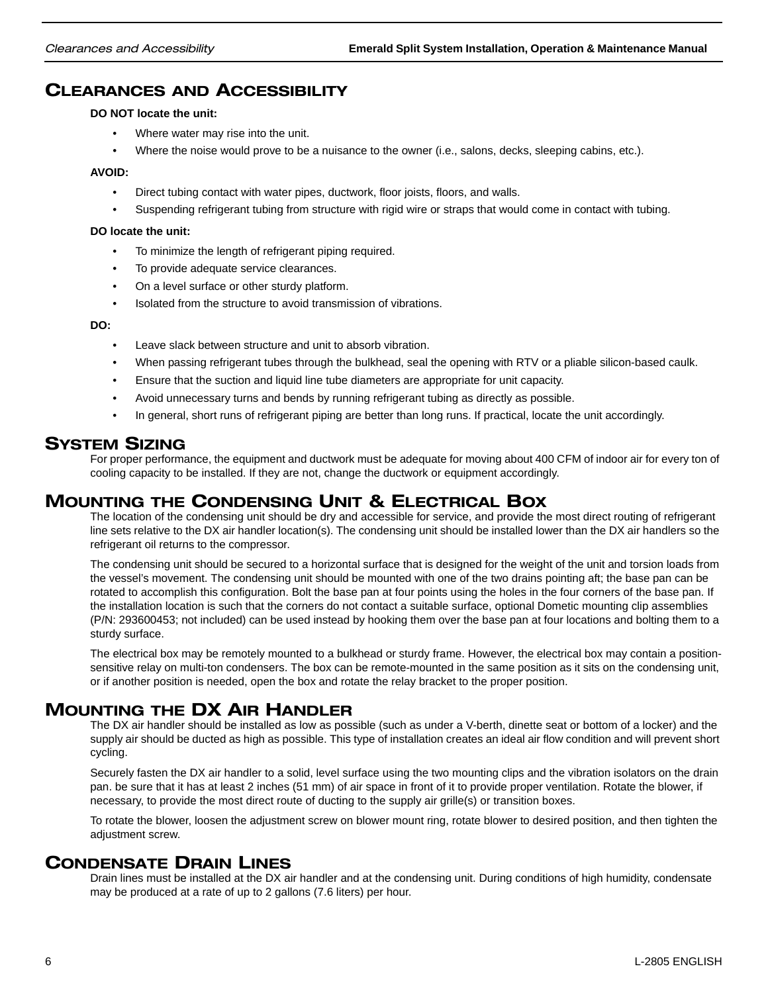## CLEARANCES AND ACCESSIBILITY

**DO NOT locate the unit:**

- Where water may rise into the unit.
- Where the noise would prove to be a nuisance to the owner (i.e., salons, decks, sleeping cabins, etc.).

#### **AVOID:**

- Direct tubing contact with water pipes, ductwork, floor joists, floors, and walls.
- Suspending refrigerant tubing from structure with rigid wire or straps that would come in contact with tubing.

#### **DO locate the unit:**

- To minimize the length of refrigerant piping required.
- To provide adequate service clearances.
- On a level surface or other sturdy platform.
- Isolated from the structure to avoid transmission of vibrations.

#### **DO:**

- Leave slack between structure and unit to absorb vibration.
- When passing refrigerant tubes through the bulkhead, seal the opening with RTV or a pliable silicon-based caulk.
- Ensure that the suction and liquid line tube diameters are appropriate for unit capacity.
- Avoid unnecessary turns and bends by running refrigerant tubing as directly as possible.
- In general, short runs of refrigerant piping are better than long runs. If practical, locate the unit accordingly.

### SYSTEM SIZING

For proper performance, the equipment and ductwork must be adequate for moving about 400 CFM of indoor air for every ton of cooling capacity to be installed. If they are not, change the ductwork or equipment accordingly.

## MOUNTING THE CONDENSING UNIT & ELECTRICAL BOX

The location of the condensing unit should be dry and accessible for service, and provide the most direct routing of refrigerant line sets relative to the DX air handler location(s). The condensing unit should be installed lower than the DX air handlers so the refrigerant oil returns to the compressor.

The condensing unit should be secured to a horizontal surface that is designed for the weight of the unit and torsion loads from the vessel's movement. The condensing unit should be mounted with one of the two drains pointing aft; the base pan can be rotated to accomplish this configuration. Bolt the base pan at four points using the holes in the four corners of the base pan. If the installation location is such that the corners do not contact a suitable surface, optional Dometic mounting clip assemblies (P/N: 293600453; not included) can be used instead by hooking them over the base pan at four locations and bolting them to a sturdy surface.

The electrical box may be remotely mounted to a bulkhead or sturdy frame. However, the electrical box may contain a positionsensitive relay on multi-ton condensers. The box can be remote-mounted in the same position as it sits on the condensing unit, or if another position is needed, open the box and rotate the relay bracket to the proper position.

## MOUNTING THE DX AIR HANDLER

The DX air handler should be installed as low as possible (such as under a V-berth, dinette seat or bottom of a locker) and the supply air should be ducted as high as possible. This type of installation creates an ideal air flow condition and will prevent short cycling.

Securely fasten the DX air handler to a solid, level surface using the two mounting clips and the vibration isolators on the drain pan. be sure that it has at least 2 inches (51 mm) of air space in front of it to provide proper ventilation. Rotate the blower, if necessary, to provide the most direct route of ducting to the supply air grille(s) or transition boxes.

To rotate the blower, loosen the adjustment screw on blower mount ring, rotate blower to desired position, and then tighten the adjustment screw.

## CONDENSATE DRAIN LINES

Drain lines must be installed at the DX air handler and at the condensing unit. During conditions of high humidity, condensate may be produced at a rate of up to 2 gallons (7.6 liters) per hour.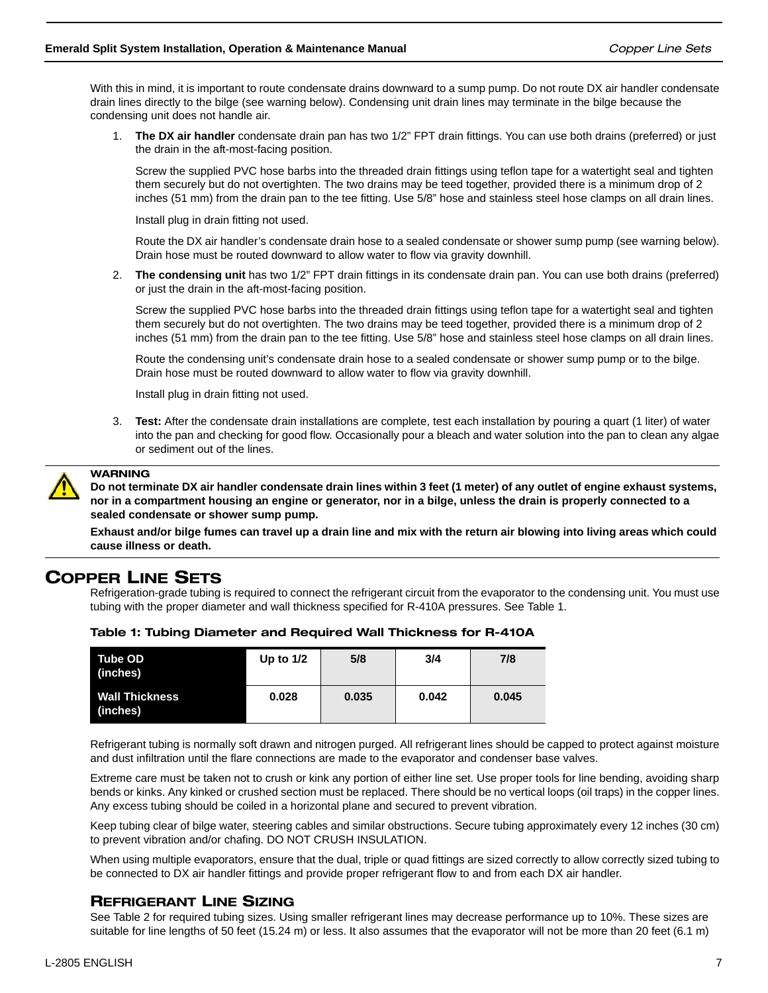With this in mind, it is important to route condensate drains downward to a sump pump. Do not route DX air handler condensate drain lines directly to the bilge (see warning below). Condensing unit drain lines may terminate in the bilge because the condensing unit does not handle air.

1. **The DX air handler** condensate drain pan has two 1/2" FPT drain fittings. You can use both drains (preferred) or just the drain in the aft-most-facing position.

Screw the supplied PVC hose barbs into the threaded drain fittings using teflon tape for a watertight seal and tighten them securely but do not overtighten. The two drains may be teed together, provided there is a minimum drop of 2 inches (51 mm) from the drain pan to the tee fitting. Use 5/8" hose and stainless steel hose clamps on all drain lines.

Install plug in drain fitting not used.

Route the DX air handler's condensate drain hose to a sealed condensate or shower sump pump (see warning below). Drain hose must be routed downward to allow water to flow via gravity downhill.

2. **The condensing unit** has two 1/2" FPT drain fittings in its condensate drain pan. You can use both drains (preferred) or just the drain in the aft-most-facing position.

Screw the supplied PVC hose barbs into the threaded drain fittings using teflon tape for a watertight seal and tighten them securely but do not overtighten. The two drains may be teed together, provided there is a minimum drop of 2 inches (51 mm) from the drain pan to the tee fitting. Use 5/8" hose and stainless steel hose clamps on all drain lines.

Route the condensing unit's condensate drain hose to a sealed condensate or shower sump pump or to the bilge. Drain hose must be routed downward to allow water to flow via gravity downhill.

Install plug in drain fitting not used.

3. **Test:** After the condensate drain installations are complete, test each installation by pouring a quart (1 liter) of water into the pan and checking for good flow. Occasionally pour a bleach and water solution into the pan to clean any algae or sediment out of the lines.



## WARNING

**Do not terminate DX air handler condensate drain lines within 3 feet (1 meter) of any outlet of engine exhaust systems, nor in a compartment housing an engine or generator, nor in a bilge, unless the drain is properly connected to a sealed condensate or shower sump pump.** 

**Exhaust and/or bilge fumes can travel up a drain line and mix with the return air blowing into living areas which could cause illness or death.**

## COPPER LINE SETS

Refrigeration-grade tubing is required to connect the refrigerant circuit from the evaporator to the condensing unit. You must use tubing with the proper diameter and wall thickness specified for R-410A pressures. See Table 1.

| <b>Tube OD</b><br>(inches)        | Up to $1/2$ | 5/8   | 3/4   | 7/8   |  |
|-----------------------------------|-------------|-------|-------|-------|--|
| <b>Wall Thickness</b><br>(inches) | 0.028       | 0.035 | 0.042 | 0.045 |  |

### Table 1: Tubing Diameter and Required Wall Thickness for R-410A

Refrigerant tubing is normally soft drawn and nitrogen purged. All refrigerant lines should be capped to protect against moisture and dust infiltration until the flare connections are made to the evaporator and condenser base valves.

Extreme care must be taken not to crush or kink any portion of either line set. Use proper tools for line bending, avoiding sharp bends or kinks. Any kinked or crushed section must be replaced. There should be no vertical loops (oil traps) in the copper lines. Any excess tubing should be coiled in a horizontal plane and secured to prevent vibration.

Keep tubing clear of bilge water, steering cables and similar obstructions. Secure tubing approximately every 12 inches (30 cm) to prevent vibration and/or chafing. DO NOT CRUSH INSULATION.

When using multiple evaporators, ensure that the dual, triple or quad fittings are sized correctly to allow correctly sized tubing to be connected to DX air handler fittings and provide proper refrigerant flow to and from each DX air handler.

### REFRIGERANT LINE SIZING

See Table 2 for required tubing sizes. Using smaller refrigerant lines may decrease performance up to 10%. These sizes are suitable for line lengths of 50 feet (15.24 m) or less. It also assumes that the evaporator will not be more than 20 feet (6.1 m)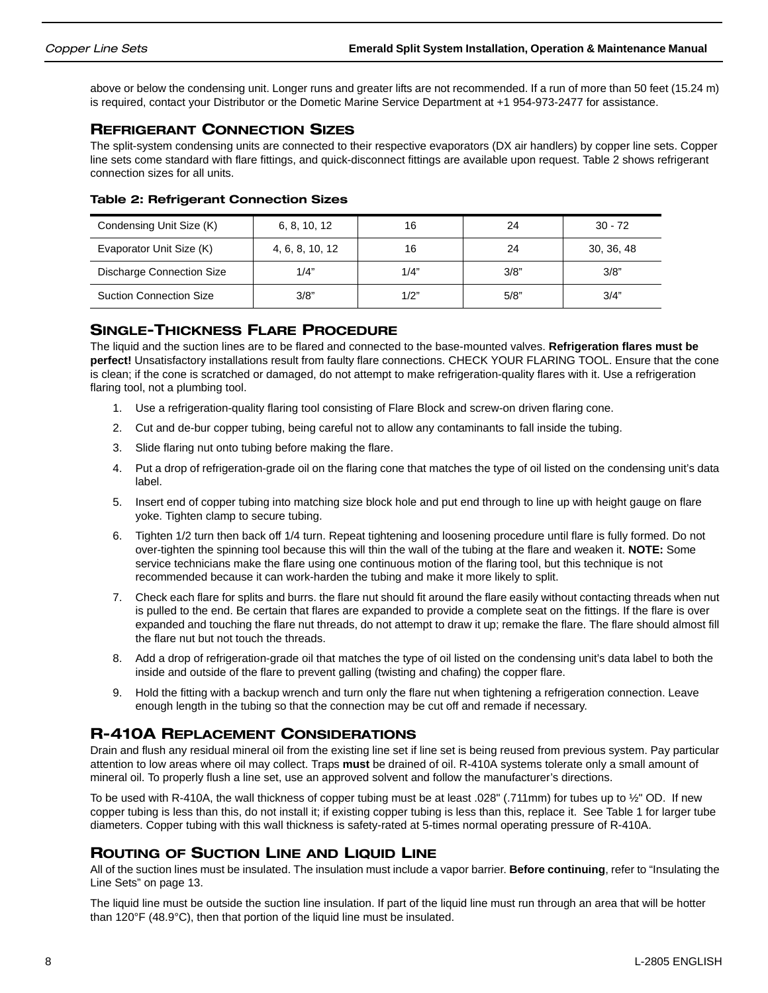above or below the condensing unit. Longer runs and greater lifts are not recommended. If a run of more than 50 feet (15.24 m) is required, contact your Distributor or the Dometic Marine Service Department at +1 954-973-2477 for assistance.

### REFRIGERANT CONNECTION SIZES

The split-system condensing units are connected to their respective evaporators (DX air handlers) by copper line sets. Copper line sets come standard with flare fittings, and quick-disconnect fittings are available upon request. Table 2 shows refrigerant connection sizes for all units.

| Condensing Unit Size (K)       | 6, 8, 10, 12    | 16   | 24   | $30 - 72$  |
|--------------------------------|-----------------|------|------|------------|
| Evaporator Unit Size (K)       | 4, 6, 8, 10, 12 | 16   | 24   | 30, 36, 48 |
| Discharge Connection Size      | 1/4"            | 1/4" | 3/8" | 3/8"       |
| <b>Suction Connection Size</b> | 3/8"            | 1/2" | 5/8" | 3/4"       |

### Table 2: Refrigerant Connection Sizes

### SINGLE-THICKNESS FLARE PROCEDURE

The liquid and the suction lines are to be flared and connected to the base-mounted valves. **Refrigeration flares must be perfect!** Unsatisfactory installations result from faulty flare connections. CHECK YOUR FLARING TOOL. Ensure that the cone is clean; if the cone is scratched or damaged, do not attempt to make refrigeration-quality flares with it. Use a refrigeration flaring tool, not a plumbing tool.

- 1. Use a refrigeration-quality flaring tool consisting of Flare Block and screw-on driven flaring cone.
- 2. Cut and de-bur copper tubing, being careful not to allow any contaminants to fall inside the tubing.
- 3. Slide flaring nut onto tubing before making the flare.
- 4. Put a drop of refrigeration-grade oil on the flaring cone that matches the type of oil listed on the condensing unit's data label.
- 5. Insert end of copper tubing into matching size block hole and put end through to line up with height gauge on flare yoke. Tighten clamp to secure tubing.
- 6. Tighten 1/2 turn then back off 1/4 turn. Repeat tightening and loosening procedure until flare is fully formed. Do not over-tighten the spinning tool because this will thin the wall of the tubing at the flare and weaken it. **NOTE:** Some service technicians make the flare using one continuous motion of the flaring tool, but this technique is not recommended because it can work-harden the tubing and make it more likely to split.
- 7. Check each flare for splits and burrs. the flare nut should fit around the flare easily without contacting threads when nut is pulled to the end. Be certain that flares are expanded to provide a complete seat on the fittings. If the flare is over expanded and touching the flare nut threads, do not attempt to draw it up; remake the flare. The flare should almost fill the flare nut but not touch the threads.
- 8. Add a drop of refrigeration-grade oil that matches the type of oil listed on the condensing unit's data label to both the inside and outside of the flare to prevent galling (twisting and chafing) the copper flare.
- 9. Hold the fitting with a backup wrench and turn only the flare nut when tightening a refrigeration connection. Leave enough length in the tubing so that the connection may be cut off and remade if necessary.

## R-410A REPLACEMENT CONSIDERATIONS

Drain and flush any residual mineral oil from the existing line set if line set is being reused from previous system. Pay particular attention to low areas where oil may collect. Traps **must** be drained of oil. R-410A systems tolerate only a small amount of mineral oil. To properly flush a line set, use an approved solvent and follow the manufacturer's directions.

To be used with R-410A, the wall thickness of copper tubing must be at least .028" (.711mm) for tubes up to 1/2" OD. If new copper tubing is less than this, do not install it; if existing copper tubing is less than this, replace it. See Table 1 for larger tube diameters. Copper tubing with this wall thickness is safety-rated at 5-times normal operating pressure of R-410A.

### ROUTING OF SUCTION LINE AND LIQUID LINE

All of the suction lines must be insulated. The insulation must include a vapor barrier. **Before continuing**, refer to "Insulating the Line Sets" on page 13.

The liquid line must be outside the suction line insulation. If part of the liquid line must run through an area that will be hotter than 120°F (48.9°C), then that portion of the liquid line must be insulated.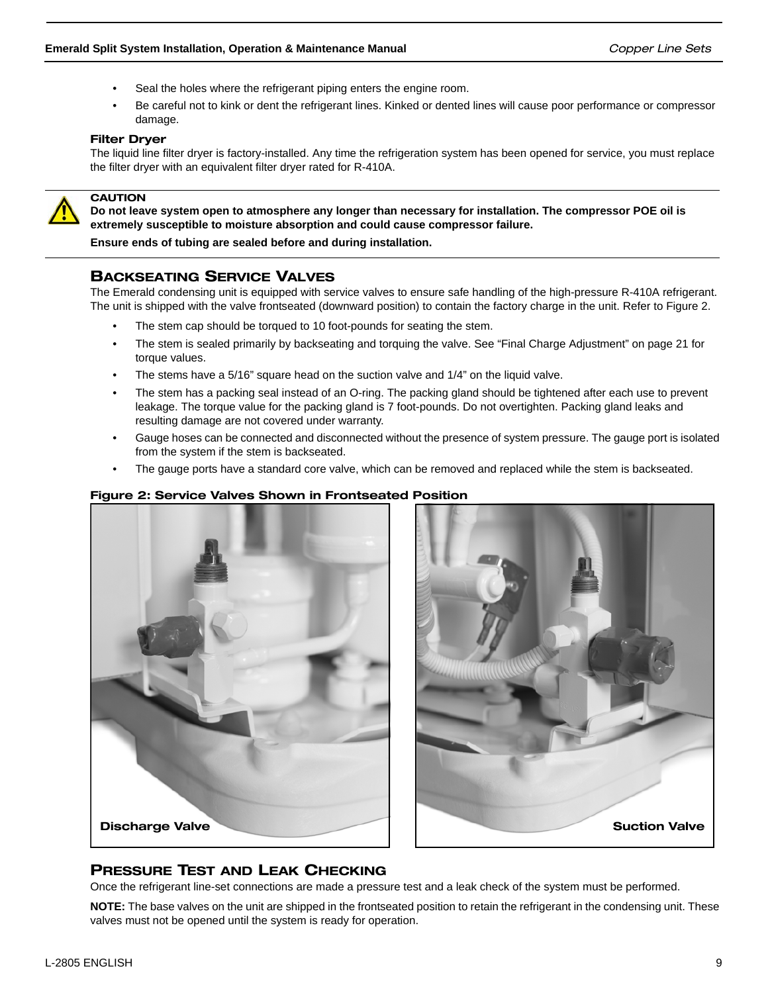- Seal the holes where the refrigerant piping enters the engine room.
- Be careful not to kink or dent the refrigerant lines. Kinked or dented lines will cause poor performance or compressor damage.

### Filter Dryer

The liquid line filter dryer is factory-installed. Any time the refrigeration system has been opened for service, you must replace the filter dryer with an equivalent filter dryer rated for R-410A.



### **CAUTION**

**Do not leave system open to atmosphere any longer than necessary for installation. The compressor POE oil is extremely susceptible to moisture absorption and could cause compressor failure.** 

**Ensure ends of tubing are sealed before and during installation.**

### BACKSEATING SERVICE VALVES

The Emerald condensing unit is equipped with service valves to ensure safe handling of the high-pressure R-410A refrigerant. The unit is shipped with the valve frontseated (downward position) to contain the factory charge in the unit. Refer to Figure 2.

- The stem cap should be torqued to 10 foot-pounds for seating the stem.
- The stem is sealed primarily by backseating and torquing the valve. See "Final Charge Adjustment" on page 21 for torque values.
- The stems have a 5/16" square head on the suction valve and 1/4" on the liquid valve.
- The stem has a packing seal instead of an O-ring. The packing gland should be tightened after each use to prevent leakage. The torque value for the packing gland is 7 foot-pounds. Do not overtighten. Packing gland leaks and resulting damage are not covered under warranty.
- Gauge hoses can be connected and disconnected without the presence of system pressure. The gauge port is isolated from the system if the stem is backseated.
- The gauge ports have a standard core valve, which can be removed and replaced while the stem is backseated.

### Figure 2: Service Valves Shown in Frontseated Position





### PRESSURE TEST AND LEAK CHECKING

Once the refrigerant line-set connections are made a pressure test and a leak check of the system must be performed.

**NOTE:** The base valves on the unit are shipped in the frontseated position to retain the refrigerant in the condensing unit. These valves must not be opened until the system is ready for operation.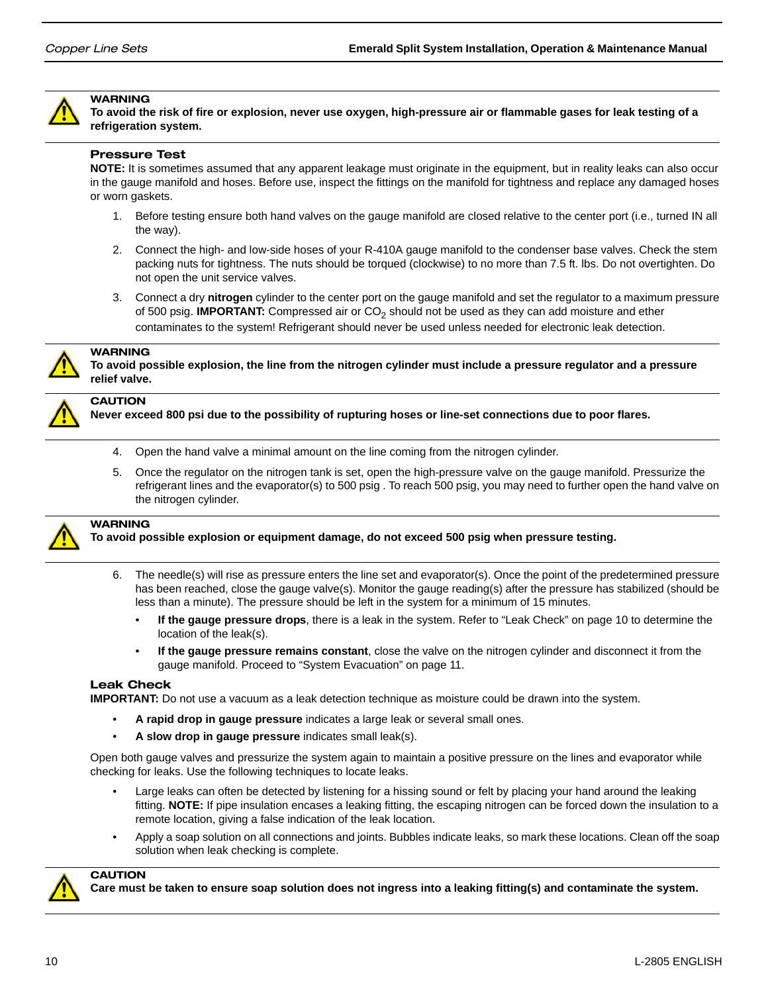

### **WARNING**

**To avoid the risk of fire or explosion, never use oxygen, high-pressure air or flammable gases for leak testing of a refrigeration system.**

### Pressure Test

**NOTE:** It is sometimes assumed that any apparent leakage must originate in the equipment, but in reality leaks can also occur in the gauge manifold and hoses. Before use, inspect the fittings on the manifold for tightness and replace any damaged hoses or worn gaskets.

- 1. Before testing ensure both hand valves on the gauge manifold are closed relative to the center port (i.e., turned IN all the way).
- 2. Connect the high- and low-side hoses of your R-410A gauge manifold to the condenser base valves. Check the stem packing nuts for tightness. The nuts should be torqued (clockwise) to no more than 7.5 ft. lbs. Do not overtighten. Do not open the unit service valves.
- 3. Connect a dry **nitrogen** cylinder to the center port on the gauge manifold and set the regulator to a maximum pressure of 500 psig. **IMPORTANT:** Compressed air or CO<sub>2</sub> should not be used as they can add moisture and ether contaminates to the system! Refrigerant should never be used unless needed for electronic leak detection.



## **WARNING**

**To avoid possible explosion, the line from the nitrogen cylinder must include a pressure regulator and a pressure relief valve.**

### **CAUTION**

**Never exceed 800 psi due to the possibility of rupturing hoses or line-set connections due to poor flares.**

- 4. Open the hand valve a minimal amount on the line coming from the nitrogen cylinder.
- 5. Once the regulator on the nitrogen tank is set, open the high-pressure valve on the gauge manifold. Pressurize the refrigerant lines and the evaporator(s) to 500 psig . To reach 500 psig, you may need to further open the hand valve on the nitrogen cylinder.



## WARNING

**To avoid possible explosion or equipment damage, do not exceed 500 psig when pressure testing.**

- 6. The needle(s) will rise as pressure enters the line set and evaporator(s). Once the point of the predetermined pressure has been reached, close the gauge valve(s). Monitor the gauge reading(s) after the pressure has stabilized (should be less than a minute). The pressure should be left in the system for a minimum of 15 minutes.
	- **If the gauge pressure drops**, there is a leak in the system. Refer to "Leak Check" on page 10 to determine the location of the leak(s).
	- **If the gauge pressure remains constant**, close the valve on the nitrogen cylinder and disconnect it from the gauge manifold. Proceed to "System Evacuation" on page 11.

### Leak Check

**IMPORTANT:** Do not use a vacuum as a leak detection technique as moisture could be drawn into the system.

- **A rapid drop in gauge pressure** indicates a large leak or several small ones.
- **A slow drop in gauge pressure** indicates small leak(s).

Open both gauge valves and pressurize the system again to maintain a positive pressure on the lines and evaporator while checking for leaks. Use the following techniques to locate leaks.

- Large leaks can often be detected by listening for a hissing sound or felt by placing your hand around the leaking fitting. **NOTE:** If pipe insulation encases a leaking fitting, the escaping nitrogen can be forced down the insulation to a remote location, giving a false indication of the leak location.
- Apply a soap solution on all connections and joints. Bubbles indicate leaks, so mark these locations. Clean off the soap solution when leak checking is complete.



### **CAUTION**

**Care must be taken to ensure soap solution does not ingress into a leaking fitting(s) and contaminate the system.**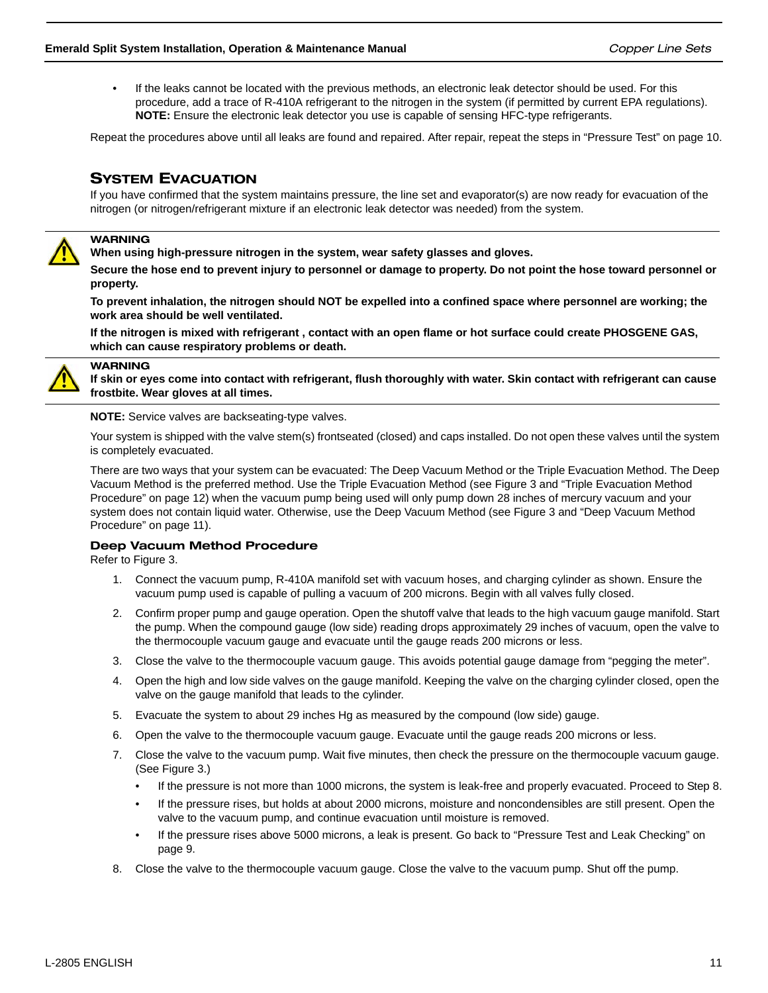• If the leaks cannot be located with the previous methods, an electronic leak detector should be used. For this procedure, add a trace of R-410A refrigerant to the nitrogen in the system (if permitted by current EPA regulations). **NOTE:** Ensure the electronic leak detector you use is capable of sensing HFC-type refrigerants.

Repeat the procedures above until all leaks are found and repaired. After repair, repeat the steps in "Pressure Test" on page 10.

### SYSTEM EVACUATION

If you have confirmed that the system maintains pressure, the line set and evaporator(s) are now ready for evacuation of the nitrogen (or nitrogen/refrigerant mixture if an electronic leak detector was needed) from the system.



### **WARNING**

**When using high-pressure nitrogen in the system, wear safety glasses and gloves.** 

**Secure the hose end to prevent injury to personnel or damage to property. Do not point the hose toward personnel or property.** 

**To prevent inhalation, the nitrogen should NOT be expelled into a confined space where personnel are working; the work area should be well ventilated.**

**If the nitrogen is mixed with refrigerant , contact with an open flame or hot surface could create PHOSGENE GAS, which can cause respiratory problems or death.**



### WARNING

**If skin or eyes come into contact with refrigerant, flush thoroughly with water. Skin contact with refrigerant can cause frostbite. Wear gloves at all times.**

**NOTE:** Service valves are backseating-type valves.

Your system is shipped with the valve stem(s) frontseated (closed) and caps installed. Do not open these valves until the system is completely evacuated.

There are two ways that your system can be evacuated: The Deep Vacuum Method or the Triple Evacuation Method. The Deep Vacuum Method is the preferred method. Use the Triple Evacuation Method (see Figure 3 and "Triple Evacuation Method Procedure" on page 12) when the vacuum pump being used will only pump down 28 inches of mercury vacuum and your system does not contain liquid water. Otherwise, use the Deep Vacuum Method (see Figure 3 and "Deep Vacuum Method Procedure" on page 11).

### Deep Vacuum Method Procedure

Refer to Figure 3.

- 1. Connect the vacuum pump, R-410A manifold set with vacuum hoses, and charging cylinder as shown. Ensure the vacuum pump used is capable of pulling a vacuum of 200 microns. Begin with all valves fully closed.
- 2. Confirm proper pump and gauge operation. Open the shutoff valve that leads to the high vacuum gauge manifold. Start the pump. When the compound gauge (low side) reading drops approximately 29 inches of vacuum, open the valve to the thermocouple vacuum gauge and evacuate until the gauge reads 200 microns or less.
- 3. Close the valve to the thermocouple vacuum gauge. This avoids potential gauge damage from "pegging the meter".
- 4. Open the high and low side valves on the gauge manifold. Keeping the valve on the charging cylinder closed, open the valve on the gauge manifold that leads to the cylinder.
- 5. Evacuate the system to about 29 inches Hg as measured by the compound (low side) gauge.
- 6. Open the valve to the thermocouple vacuum gauge. Evacuate until the gauge reads 200 microns or less.
- 7. Close the valve to the vacuum pump. Wait five minutes, then check the pressure on the thermocouple vacuum gauge. (See Figure 3.)
	- If the pressure is not more than 1000 microns, the system is leak-free and properly evacuated. Proceed to Step 8.
	- If the pressure rises, but holds at about 2000 microns, moisture and noncondensibles are still present. Open the valve to the vacuum pump, and continue evacuation until moisture is removed.
	- If the pressure rises above 5000 microns, a leak is present. Go back to "Pressure Test and Leak Checking" on page 9.
- 8. Close the valve to the thermocouple vacuum gauge. Close the valve to the vacuum pump. Shut off the pump.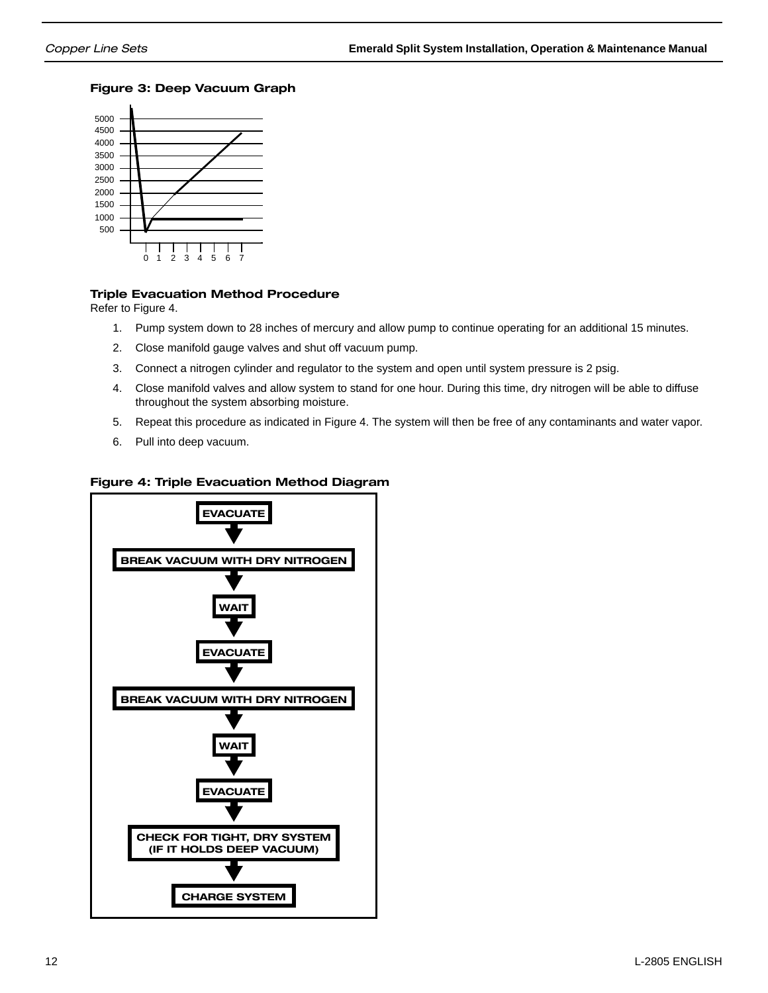### Figure 3: Deep Vacuum Graph



### Triple Evacuation Method Procedure

Refer to Figure 4.

- 1. Pump system down to 28 inches of mercury and allow pump to continue operating for an additional 15 minutes.
- 2. Close manifold gauge valves and shut off vacuum pump.
- 3. Connect a nitrogen cylinder and regulator to the system and open until system pressure is 2 psig.
- 4. Close manifold valves and allow system to stand for one hour. During this time, dry nitrogen will be able to diffuse throughout the system absorbing moisture.
- 5. Repeat this procedure as indicated in Figure 4. The system will then be free of any contaminants and water vapor.
- 6. Pull into deep vacuum.

### Figure 4: Triple Evacuation Method Diagram

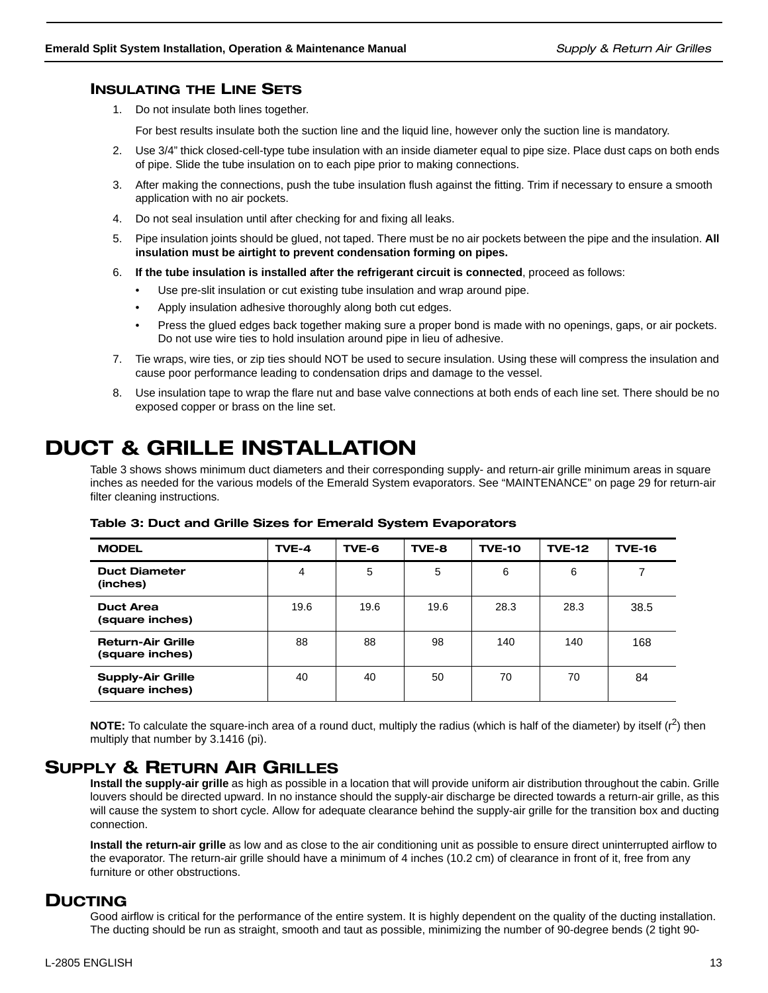### INSULATING THE LINE SETS

1. Do not insulate both lines together.

For best results insulate both the suction line and the liquid line, however only the suction line is mandatory.

- 2. Use 3/4" thick closed-cell-type tube insulation with an inside diameter equal to pipe size. Place dust caps on both ends of pipe. Slide the tube insulation on to each pipe prior to making connections.
- 3. After making the connections, push the tube insulation flush against the fitting. Trim if necessary to ensure a smooth application with no air pockets.
- 4. Do not seal insulation until after checking for and fixing all leaks.
- 5. Pipe insulation joints should be glued, not taped. There must be no air pockets between the pipe and the insulation. **All insulation must be airtight to prevent condensation forming on pipes.**
- 6. **If the tube insulation is installed after the refrigerant circuit is connected**, proceed as follows:
	- Use pre-slit insulation or cut existing tube insulation and wrap around pipe.
	- Apply insulation adhesive thoroughly along both cut edges.
	- Press the glued edges back together making sure a proper bond is made with no openings, gaps, or air pockets. Do not use wire ties to hold insulation around pipe in lieu of adhesive.
- 7. Tie wraps, wire ties, or zip ties should NOT be used to secure insulation. Using these will compress the insulation and cause poor performance leading to condensation drips and damage to the vessel.
- 8. Use insulation tape to wrap the flare nut and base valve connections at both ends of each line set. There should be no exposed copper or brass on the line set.

## DUCT & GRILLE INSTALLATION

Table 3 shows shows minimum duct diameters and their corresponding supply- and return-air grille minimum areas in square inches as needed for the various models of the Emerald System evaporators. See "MAINTENANCE" on page 29 for return-air filter cleaning instructions.

| <b>MODEL</b>                                | TVE-4 | TVE-6 | TVE-8 | <b>TVE-10</b> | <b>TVE-12</b> | <b>TVE-16</b> |
|---------------------------------------------|-------|-------|-------|---------------|---------------|---------------|
| <b>Duct Diameter</b><br>(inches)            | 4     | 5     | 5     | 6             | 6             |               |
| <b>Duct Area</b><br>(square inches)         | 19.6  | 19.6  | 19.6  | 28.3          | 28.3          | 38.5          |
| <b>Return-Air Grille</b><br>(square inches) | 88    | 88    | 98    | 140           | 140           | 168           |
| <b>Supply-Air Grille</b><br>(square inches) | 40    | 40    | 50    | 70            | 70            | 84            |

Table 3: Duct and Grille Sizes for Emerald System Evaporators

**NOTE:** To calculate the square-inch area of a round duct, multiply the radius (which is half of the diameter) by itself  $(r^2)$  then multiply that number by 3.1416 (pi).

## SUPPLY & RETURN AIR GRILLES

**Install the supply-air grille** as high as possible in a location that will provide uniform air distribution throughout the cabin. Grille louvers should be directed upward. In no instance should the supply-air discharge be directed towards a return-air grille, as this will cause the system to short cycle. Allow for adequate clearance behind the supply-air grille for the transition box and ducting connection.

**Install the return-air grille** as low and as close to the air conditioning unit as possible to ensure direct uninterrupted airflow to the evaporator. The return-air grille should have a minimum of 4 inches (10.2 cm) of clearance in front of it, free from any furniture or other obstructions.

## DUCTING

Good airflow is critical for the performance of the entire system. It is highly dependent on the quality of the ducting installation. The ducting should be run as straight, smooth and taut as possible, minimizing the number of 90-degree bends (2 tight 90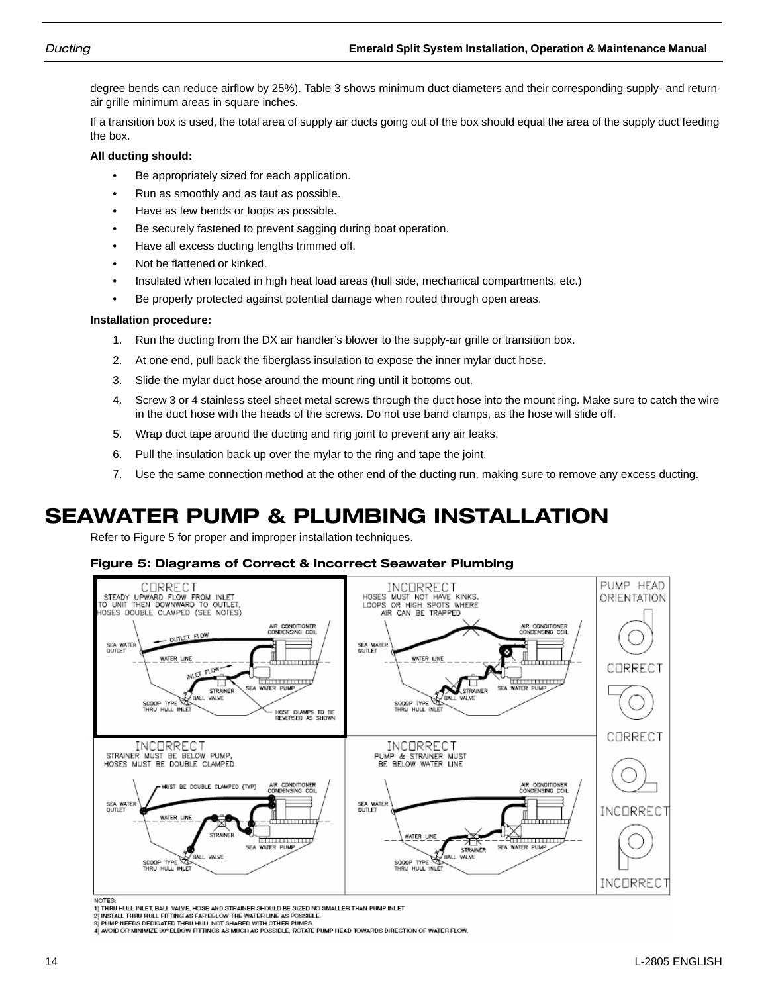degree bends can reduce airflow by 25%). Table 3 shows minimum duct diameters and their corresponding supply- and returnair grille minimum areas in square inches.

If a transition box is used, the total area of supply air ducts going out of the box should equal the area of the supply duct feeding the box.

### **All ducting should:**

- Be appropriately sized for each application.
- Run as smoothly and as taut as possible.
- Have as few bends or loops as possible.
- Be securely fastened to prevent sagging during boat operation.
- Have all excess ducting lengths trimmed off.
- Not be flattened or kinked.
- Insulated when located in high heat load areas (hull side, mechanical compartments, etc.)
- Be properly protected against potential damage when routed through open areas.

### **Installation procedure:**

- 1. Run the ducting from the DX air handler's blower to the supply-air grille or transition box.
- 2. At one end, pull back the fiberglass insulation to expose the inner mylar duct hose.
- 3. Slide the mylar duct hose around the mount ring until it bottoms out.
- 4. Screw 3 or 4 stainless steel sheet metal screws through the duct hose into the mount ring. Make sure to catch the wire in the duct hose with the heads of the screws. Do not use band clamps, as the hose will slide off.
- 5. Wrap duct tape around the ducting and ring joint to prevent any air leaks.
- 6. Pull the insulation back up over the mylar to the ring and tape the joint.
- 7. Use the same connection method at the other end of the ducting run, making sure to remove any excess ducting.

## SEAWATER PUMP & PLUMBING INSTALLATION

Refer to Figure 5 for proper and improper installation techniques.

### Figure 5: Diagrams of Correct & Incorrect Seawater Plumbing



**NOTES** 

1) THRU HULL INLET BALL VALVE. HOSE AND STRAINER SHOULD BE SIZED NO SMALLER THAN PUMP INLET.

1) TIMO POCLINER I, SALE VADE, MOVE AND STANDING APPOILER SIZED IN SINCLER THAN PORPINEER.<br>3) PUMP NEEDS DEDICATED THRU HULL NOT SHARED WITH OTHER PUMPS.<br>4) AVOID OR MINIMIZE 90° ELBOW FITTINGS AS MUCH AS POSSIBLE, ROTATE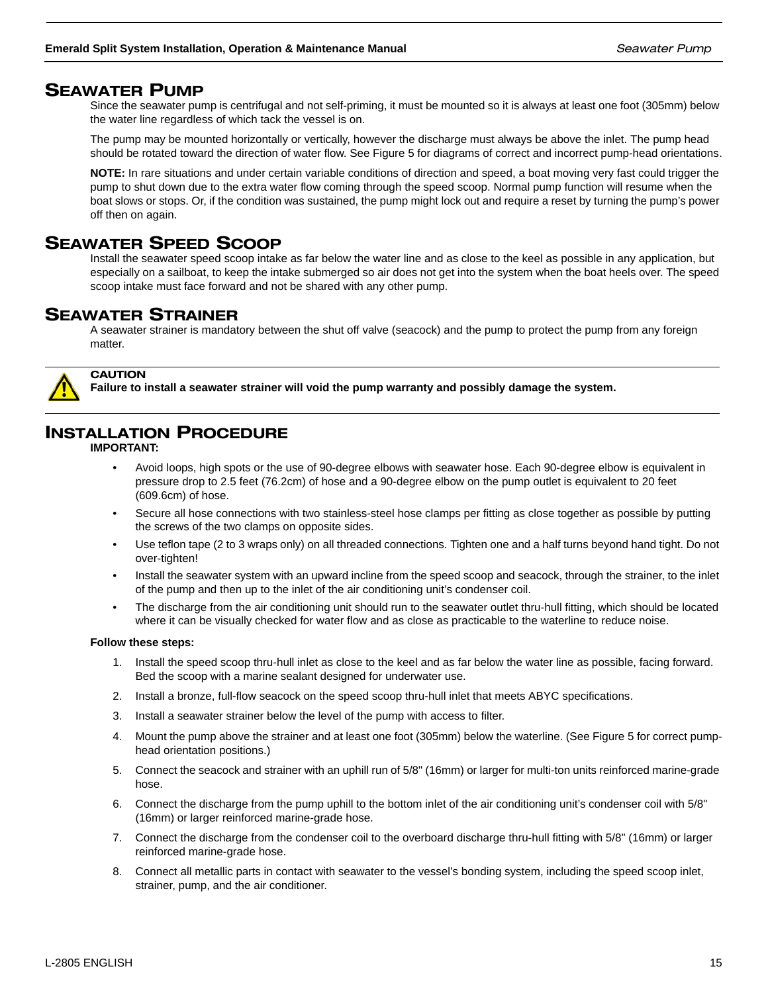### SEAWATER PUMP

Since the seawater pump is centrifugal and not self-priming, it must be mounted so it is always at least one foot (305mm) below the water line regardless of which tack the vessel is on.

The pump may be mounted horizontally or vertically, however the discharge must always be above the inlet. The pump head should be rotated toward the direction of water flow. See Figure 5 for diagrams of correct and incorrect pump-head orientations.

**NOTE:** In rare situations and under certain variable conditions of direction and speed, a boat moving very fast could trigger the pump to shut down due to the extra water flow coming through the speed scoop. Normal pump function will resume when the boat slows or stops. Or, if the condition was sustained, the pump might lock out and require a reset by turning the pump's power off then on again.

## SEAWATER SPEED SCOOP

Install the seawater speed scoop intake as far below the water line and as close to the keel as possible in any application, but especially on a sailboat, to keep the intake submerged so air does not get into the system when the boat heels over. The speed scoop intake must face forward and not be shared with any other pump.

## SEAWATER STRAINER

A seawater strainer is mandatory between the shut off valve (seacock) and the pump to protect the pump from any foreign matter.



**Failure to install a seawater strainer will void the pump warranty and possibly damage the system.**

## INSTALLATION PROCEDURE

**IMPORTANT:** 

**CAUTION** 

- Avoid loops, high spots or the use of 90-degree elbows with seawater hose. Each 90-degree elbow is equivalent in pressure drop to 2.5 feet (76.2cm) of hose and a 90-degree elbow on the pump outlet is equivalent to 20 feet (609.6cm) of hose.
- Secure all hose connections with two stainless-steel hose clamps per fitting as close together as possible by putting the screws of the two clamps on opposite sides.
- Use teflon tape (2 to 3 wraps only) on all threaded connections. Tighten one and a half turns beyond hand tight. Do not over-tighten!
- Install the seawater system with an upward incline from the speed scoop and seacock, through the strainer, to the inlet of the pump and then up to the inlet of the air conditioning unit's condenser coil.
- The discharge from the air conditioning unit should run to the seawater outlet thru-hull fitting, which should be located where it can be visually checked for water flow and as close as practicable to the waterline to reduce noise.

### **Follow these steps:**

- 1. Install the speed scoop thru-hull inlet as close to the keel and as far below the water line as possible, facing forward. Bed the scoop with a marine sealant designed for underwater use.
- 2. Install a bronze, full-flow seacock on the speed scoop thru-hull inlet that meets ABYC specifications.
- 3. Install a seawater strainer below the level of the pump with access to filter.
- 4. Mount the pump above the strainer and at least one foot (305mm) below the waterline. (See Figure 5 for correct pumphead orientation positions.)
- 5. Connect the seacock and strainer with an uphill run of 5/8" (16mm) or larger for multi-ton units reinforced marine-grade hose.
- 6. Connect the discharge from the pump uphill to the bottom inlet of the air conditioning unit's condenser coil with 5/8" (16mm) or larger reinforced marine-grade hose.
- 7. Connect the discharge from the condenser coil to the overboard discharge thru-hull fitting with 5/8" (16mm) or larger reinforced marine-grade hose.
- 8. Connect all metallic parts in contact with seawater to the vessel's bonding system, including the speed scoop inlet, strainer, pump, and the air conditioner.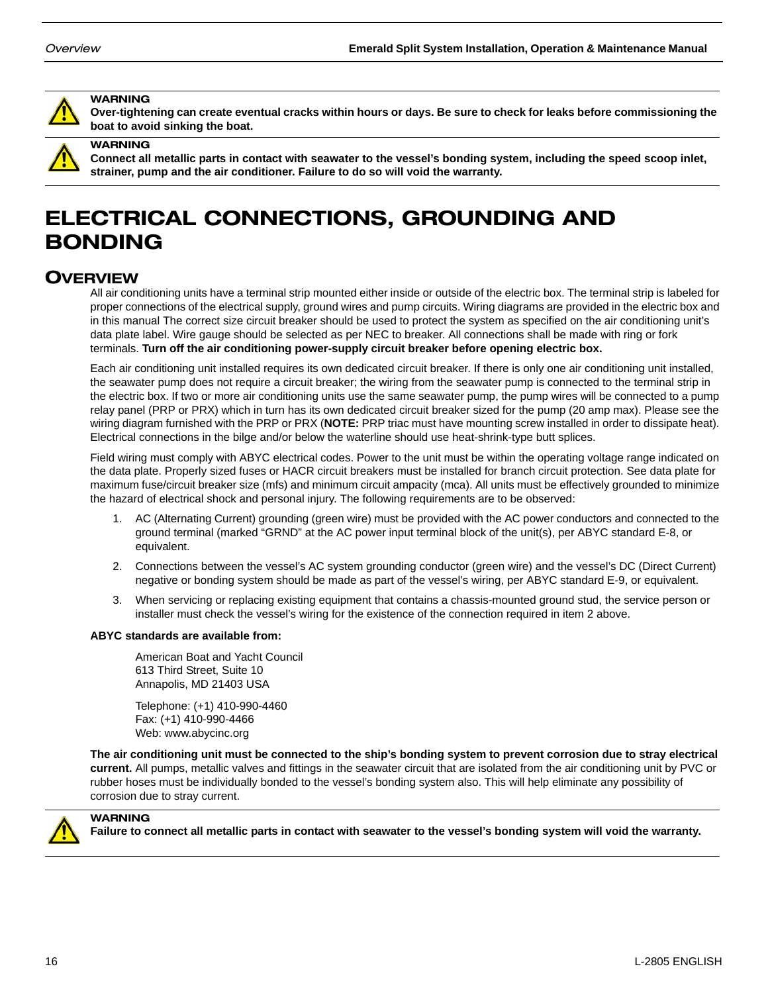

#### WARNING

**Over-tightening can create eventual cracks within hours or days. Be sure to check for leaks before commissioning the boat to avoid sinking the boat.**



#### WARNING

**Connect all metallic parts in contact with seawater to the vessel's bonding system, including the speed scoop inlet, strainer, pump and the air conditioner. Failure to do so will void the warranty.**

## ELECTRICAL CONNECTIONS, GROUNDING AND BONDING

## **OVERVIEW**

All air conditioning units have a terminal strip mounted either inside or outside of the electric box. The terminal strip is labeled for proper connections of the electrical supply, ground wires and pump circuits. Wiring diagrams are provided in the electric box and in this manual The correct size circuit breaker should be used to protect the system as specified on the air conditioning unit's data plate label. Wire gauge should be selected as per NEC to breaker. All connections shall be made with ring or fork terminals. **Turn off the air conditioning power-supply circuit breaker before opening electric box.**

Each air conditioning unit installed requires its own dedicated circuit breaker. If there is only one air conditioning unit installed, the seawater pump does not require a circuit breaker; the wiring from the seawater pump is connected to the terminal strip in the electric box. If two or more air conditioning units use the same seawater pump, the pump wires will be connected to a pump relay panel (PRP or PRX) which in turn has its own dedicated circuit breaker sized for the pump (20 amp max). Please see the wiring diagram furnished with the PRP or PRX (**NOTE:** PRP triac must have mounting screw installed in order to dissipate heat). Electrical connections in the bilge and/or below the waterline should use heat-shrink-type butt splices.

Field wiring must comply with ABYC electrical codes. Power to the unit must be within the operating voltage range indicated on the data plate. Properly sized fuses or HACR circuit breakers must be installed for branch circuit protection. See data plate for maximum fuse/circuit breaker size (mfs) and minimum circuit ampacity (mca). All units must be effectively grounded to minimize the hazard of electrical shock and personal injury. The following requirements are to be observed:

- 1. AC (Alternating Current) grounding (green wire) must be provided with the AC power conductors and connected to the ground terminal (marked "GRND" at the AC power input terminal block of the unit(s), per ABYC standard E-8, or equivalent.
- 2. Connections between the vessel's AC system grounding conductor (green wire) and the vessel's DC (Direct Current) negative or bonding system should be made as part of the vessel's wiring, per ABYC standard E-9, or equivalent.
- 3. When servicing or replacing existing equipment that contains a chassis-mounted ground stud, the service person or installer must check the vessel's wiring for the existence of the connection required in item 2 above.

#### **ABYC standards are available from:**

American Boat and Yacht Council 613 Third Street, Suite 10 Annapolis, MD 21403 USA

Telephone: (+1) 410-990-4460 Fax: (+1) 410-990-4466 Web: www.abycinc.org

**The air conditioning unit must be connected to the ship's bonding system to prevent corrosion due to stray electrical current.** All pumps, metallic valves and fittings in the seawater circuit that are isolated from the air conditioning unit by PVC or rubber hoses must be individually bonded to the vessel's bonding system also. This will help eliminate any possibility of corrosion due to stray current.



### **WARNING**

**Failure to connect all metallic parts in contact with seawater to the vessel's bonding system will void the warranty.**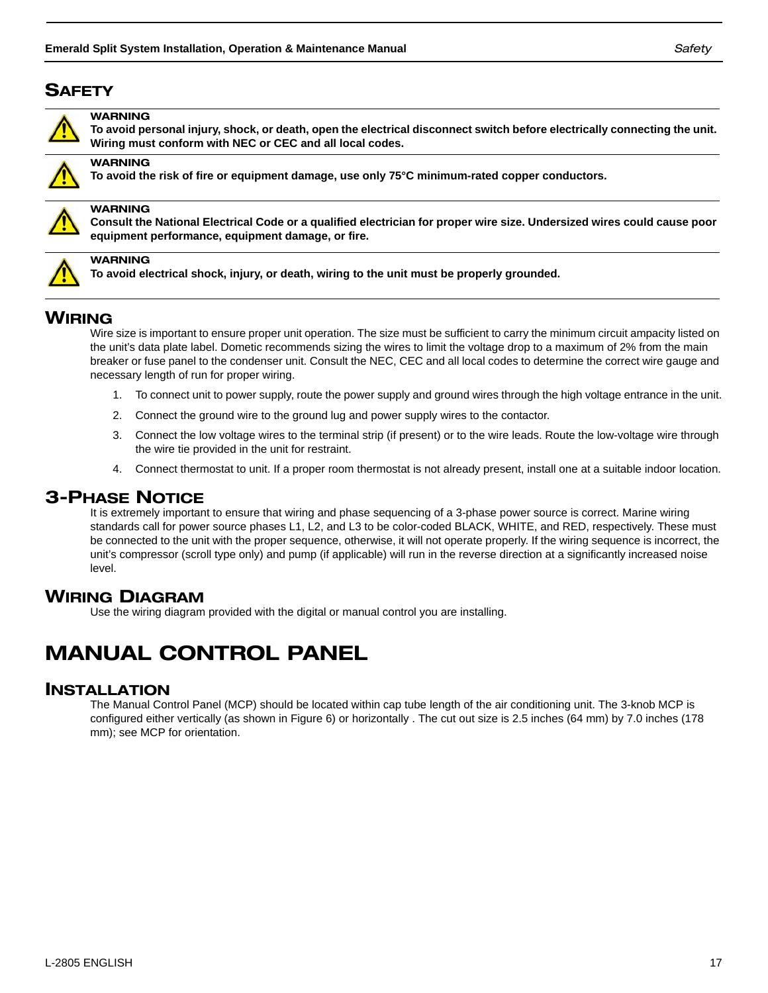## **SAFETY**



### WARNING

**To avoid personal injury, shock, or death, open the electrical disconnect switch before electrically connecting the unit. Wiring must conform with NEC or CEC and all local codes.**



#### WARNING

**To avoid the risk of fire or equipment damage, use only 75°C minimum-rated copper conductors.**



### **WARNING**

**Consult the National Electrical Code or a qualified electrician for proper wire size. Undersized wires could cause poor equipment performance, equipment damage, or fire.**



**WARNING** 

**To avoid electrical shock, injury, or death, wiring to the unit must be properly grounded.**

## WIRING

Wire size is important to ensure proper unit operation. The size must be sufficient to carry the minimum circuit ampacity listed on the unit's data plate label. Dometic recommends sizing the wires to limit the voltage drop to a maximum of 2% from the main breaker or fuse panel to the condenser unit. Consult the NEC, CEC and all local codes to determine the correct wire gauge and necessary length of run for proper wiring.

- 1. To connect unit to power supply, route the power supply and ground wires through the high voltage entrance in the unit.
- 2. Connect the ground wire to the ground lug and power supply wires to the contactor.
- 3. Connect the low voltage wires to the terminal strip (if present) or to the wire leads. Route the low-voltage wire through the wire tie provided in the unit for restraint.
- 4. Connect thermostat to unit. If a proper room thermostat is not already present, install one at a suitable indoor location.

### 3-PHASE NOTICE

It is extremely important to ensure that wiring and phase sequencing of a 3-phase power source is correct. Marine wiring standards call for power source phases L1, L2, and L3 to be color-coded BLACK, WHITE, and RED, respectively. These must be connected to the unit with the proper sequence, otherwise, it will not operate properly. If the wiring sequence is incorrect, the unit's compressor (scroll type only) and pump (if applicable) will run in the reverse direction at a significantly increased noise level.

### WIRING DIAGRAM

Use the wiring diagram provided with the digital or manual control you are installing.

## MANUAL CONTROL PANEL

### INSTALLATION

The Manual Control Panel (MCP) should be located within cap tube length of the air conditioning unit. The 3-knob MCP is configured either vertically (as shown in Figure 6) or horizontally . The cut out size is 2.5 inches (64 mm) by 7.0 inches (178 mm); see MCP for orientation.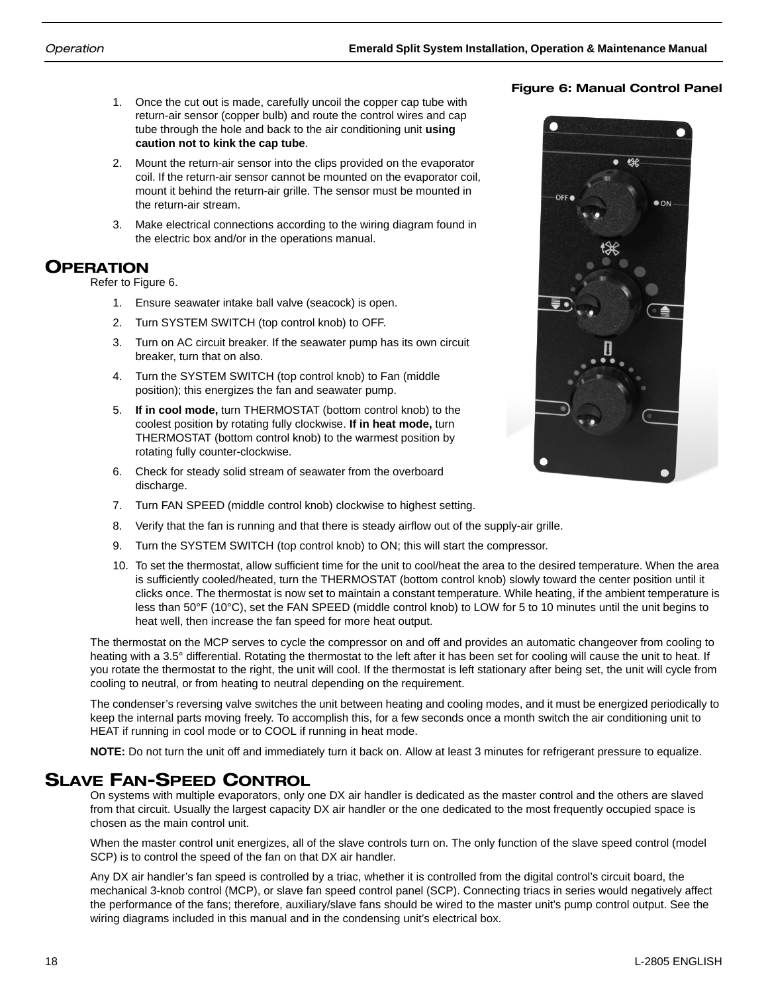- 1. Once the cut out is made, carefully uncoil the copper cap tube with return-air sensor (copper bulb) and route the control wires and cap tube through the hole and back to the air conditioning unit **using caution not to kink the cap tube**.
- 2. Mount the return-air sensor into the clips provided on the evaporator coil. If the return-air sensor cannot be mounted on the evaporator coil, mount it behind the return-air grille. The sensor must be mounted in the return-air stream.
- 3. Make electrical connections according to the wiring diagram found in the electric box and/or in the operations manual.

## OPERATION

Refer to Figure 6.

- 1. Ensure seawater intake ball valve (seacock) is open.
- 2. Turn SYSTEM SWITCH (top control knob) to OFF.
- 3. Turn on AC circuit breaker. If the seawater pump has its own circuit breaker, turn that on also.
- 4. Turn the SYSTEM SWITCH (top control knob) to Fan (middle position); this energizes the fan and seawater pump.
- 5. **If in cool mode,** turn THERMOSTAT (bottom control knob) to the coolest position by rotating fully clockwise. **If in heat mode,** turn THERMOSTAT (bottom control knob) to the warmest position by rotating fully counter-clockwise.
- 6. Check for steady solid stream of seawater from the overboard discharge.
- 7. Turn FAN SPEED (middle control knob) clockwise to highest setting.
- 8. Verify that the fan is running and that there is steady airflow out of the supply-air grille.
- 9. Turn the SYSTEM SWITCH (top control knob) to ON; this will start the compressor.
- 10. To set the thermostat, allow sufficient time for the unit to cool/heat the area to the desired temperature. When the area is sufficiently cooled/heated, turn the THERMOSTAT (bottom control knob) slowly toward the center position until it clicks once. The thermostat is now set to maintain a constant temperature. While heating, if the ambient temperature is less than 50°F (10°C), set the FAN SPEED (middle control knob) to LOW for 5 to 10 minutes until the unit begins to heat well, then increase the fan speed for more heat output.

The thermostat on the MCP serves to cycle the compressor on and off and provides an automatic changeover from cooling to heating with a 3.5° differential. Rotating the thermostat to the left after it has been set for cooling will cause the unit to heat. If you rotate the thermostat to the right, the unit will cool. If the thermostat is left stationary after being set, the unit will cycle from cooling to neutral, or from heating to neutral depending on the requirement.

The condenser's reversing valve switches the unit between heating and cooling modes, and it must be energized periodically to keep the internal parts moving freely. To accomplish this, for a few seconds once a month switch the air conditioning unit to HEAT if running in cool mode or to COOL if running in heat mode.

**NOTE:** Do not turn the unit off and immediately turn it back on. Allow at least 3 minutes for refrigerant pressure to equalize.

## SLAVE FAN-SPEED CONTROL

On systems with multiple evaporators, only one DX air handler is dedicated as the master control and the others are slaved from that circuit. Usually the largest capacity DX air handler or the one dedicated to the most frequently occupied space is chosen as the main control unit.

When the master control unit energizes, all of the slave controls turn on. The only function of the slave speed control (model SCP) is to control the speed of the fan on that DX air handler.

Any DX air handler's fan speed is controlled by a triac, whether it is controlled from the digital control's circuit board, the mechanical 3-knob control (MCP), or slave fan speed control panel (SCP). Connecting triacs in series would negatively affect the performance of the fans; therefore, auxiliary/slave fans should be wired to the master unit's pump control output. See the wiring diagrams included in this manual and in the condensing unit's electrical box.

### Figure 6: Manual Control Panel

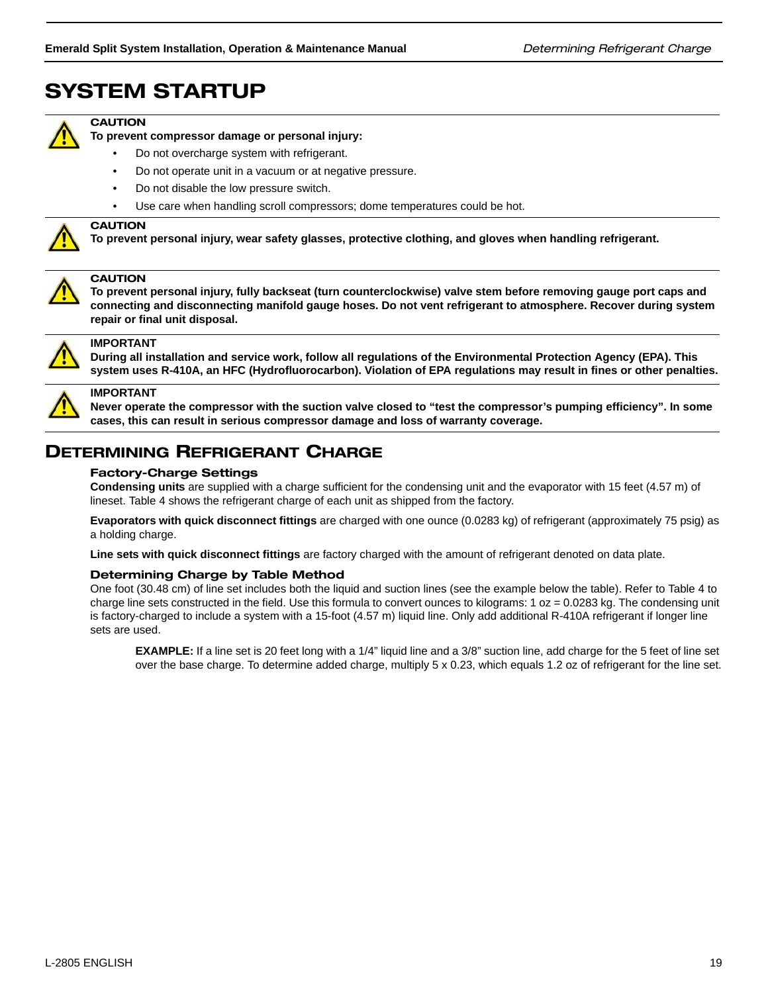## SYSTEM STARTUP



### **CAUTION**

**To prevent compressor damage or personal injury:**

- Do not overcharge system with refrigerant.
- Do not operate unit in a vacuum or at negative pressure.
- Do not disable the low pressure switch.
- Use care when handling scroll compressors; dome temperatures could be hot.



### **CAUTION**

**To prevent personal injury, wear safety glasses, protective clothing, and gloves when handling refrigerant.**



#### **CAUTION**

**To prevent personal injury, fully backseat (turn counterclockwise) valve stem before removing gauge port caps and connecting and disconnecting manifold gauge hoses. Do not vent refrigerant to atmosphere. Recover during system repair or final unit disposal.**



**IMPORTANT**

**During all installation and service work, follow all regulations of the Environmental Protection Agency (EPA). This system uses R-410A, an HFC (Hydrofluorocarbon). Violation of EPA regulations may result in fines or other penalties.**



### **IMPORTANT**

**Never operate the compressor with the suction valve closed to "test the compressor's pumping efficiency". In some cases, this can result in serious compressor damage and loss of warranty coverage.**

## DETERMINING REFRIGERANT CHARGE

#### Factory-Charge Settings

**Condensing units** are supplied with a charge sufficient for the condensing unit and the evaporator with 15 feet (4.57 m) of lineset. Table 4 shows the refrigerant charge of each unit as shipped from the factory.

**Evaporators with quick disconnect fittings** are charged with one ounce (0.0283 kg) of refrigerant (approximately 75 psig) as a holding charge.

**Line sets with quick disconnect fittings** are factory charged with the amount of refrigerant denoted on data plate.

### Determining Charge by Table Method

One foot (30.48 cm) of line set includes both the liquid and suction lines (see the example below the table). Refer to Table 4 to charge line sets constructed in the field. Use this formula to convert ounces to kilograms:  $1 oz = 0.0283$  kg. The condensing unit is factory-charged to include a system with a 15-foot (4.57 m) liquid line. Only add additional R-410A refrigerant if longer line sets are used.

**EXAMPLE:** If a line set is 20 feet long with a 1/4" liquid line and a 3/8" suction line, add charge for the 5 feet of line set over the base charge. To determine added charge, multiply 5 x 0.23, which equals 1.2 oz of refrigerant for the line set.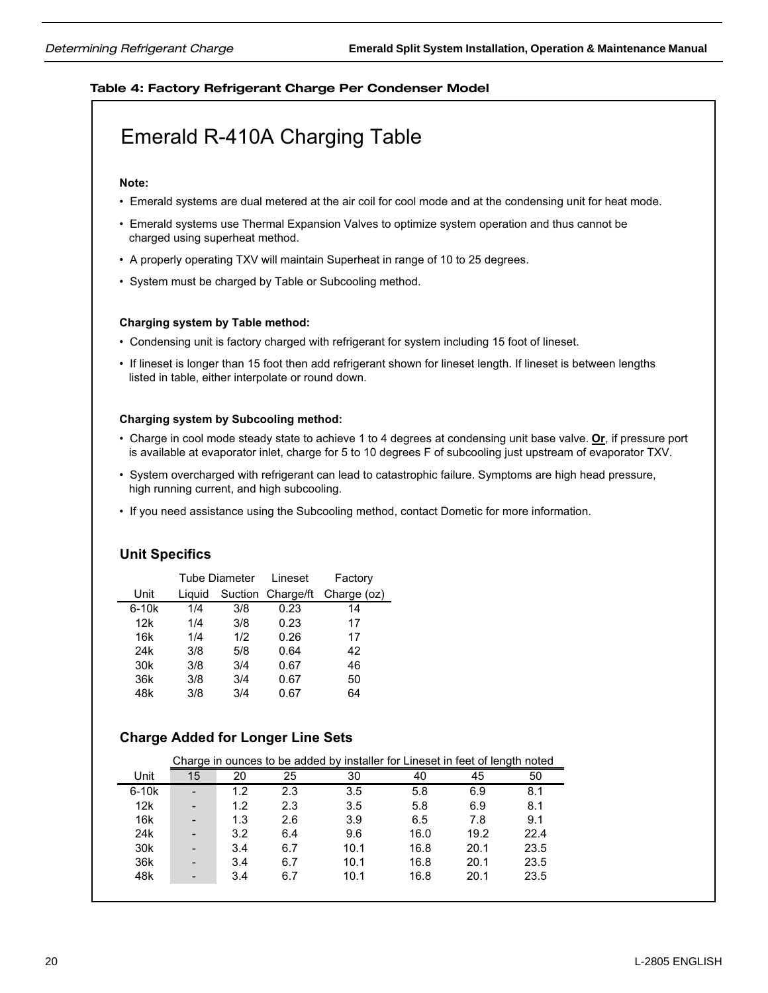### Table 4: Factory Refrigerant Charge Per Condenser Model

## Emerald R-410A Charging Table

### **Note:**

- Emerald systems are dual metered at the air coil for cool mode and at the condensing unit for heat mode.
- Emerald systems use Thermal Expansion Valves to optimize system operation and thus cannot be charged using superheat method.
- A properly operating TXV will maintain Superheat in range of 10 to 25 degrees.
- System must be charged by Table or Subcooling method.

### **Charging system by Table method:**

- Condensing unit is factory charged with refrigerant for system including 15 foot of lineset.
- If lineset is longer than 15 foot then add refrigerant shown for lineset length. If lineset is between lengths listed in table, either interpolate or round down.

### **Charging system by Subcooling method:**

- Charge in cool mode steady state to achieve 1 to 4 degrees at condensing unit base valve. **Or**, if pressure port is available at evaporator inlet, charge for 5 to 10 degrees F of subcooling just upstream of evaporator TXV.
- System overcharged with refrigerant can lead to catastrophic failure. Symptoms are high head pressure, high running current, and high subcooling.
- If you need assistance using the Subcooling method, contact Dometic for more information.

### **Unit Specifics**

|                 |        | <b>Tube Diameter</b> | Lineset           | Factory     |
|-----------------|--------|----------------------|-------------------|-------------|
| Unit            | Liauid |                      | Suction Charge/ft | Charge (oz) |
| $6-10k$         | 1/4    | 3/8                  | 0.23              | 14          |
| 12k             | 1/4    | 3/8                  | 0.23              | 17          |
| 16k             | 1/4    | 1/2                  | 0.26              | 17          |
| 24 <sub>k</sub> | 3/8    | 5/8                  | 0.64              | 42          |
| 30 <sub>k</sub> | 3/8    | 3/4                  | 0.67              | 46          |
| 36k             | 3/8    | 3/4                  | 0.67              | 50          |
| 48k             | 3/8    | 3/4                  | 0.67              | 64          |

### **Charge Added for Longer Line Sets**

|                 |    |     |     | Charge in ounces to be added by installer for Lineset in feet of length noted |      |      |      |
|-----------------|----|-----|-----|-------------------------------------------------------------------------------|------|------|------|
| Unit            | 15 | 20  | 25  | 30                                                                            | 40   | 45   | 50   |
| $6-10k$         |    | 1.2 | 2.3 | 3.5                                                                           | 5.8  | 6.9  | 8.1  |
| 12k             |    | 1.2 | 2.3 | 3.5                                                                           | 5.8  | 6.9  | 8.1  |
| 16k             |    | 1.3 | 2.6 | 3.9                                                                           | 6.5  | 7.8  | 9.1  |
| 24 <sub>k</sub> |    | 3.2 | 6.4 | 9.6                                                                           | 16.0 | 19.2 | 22.4 |
| 30 <sub>k</sub> |    | 3.4 | 6.7 | 10.1                                                                          | 16.8 | 20.1 | 23.5 |
| 36k             |    | 3.4 | 6.7 | 10.1                                                                          | 16.8 | 20.1 | 23.5 |
| 48k             |    | 3.4 | 6.7 | 10.1                                                                          | 16.8 | 20.1 | 23.5 |
|                 |    |     |     |                                                                               |      |      |      |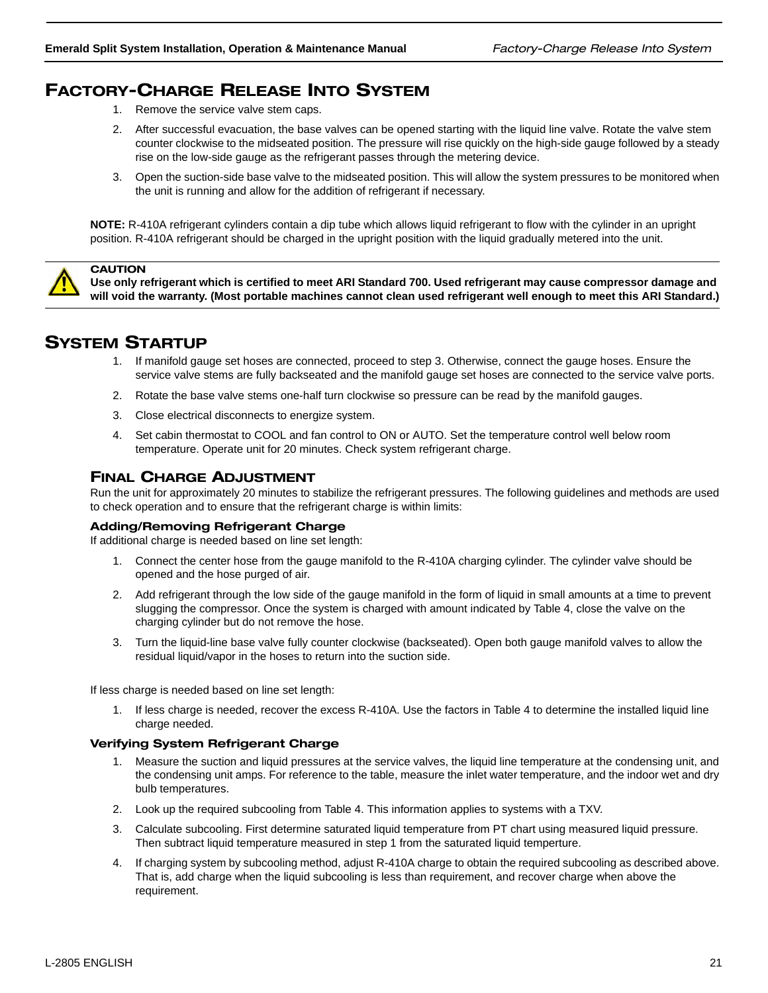## FACTORY-CHARGE RELEASE INTO SYSTEM

- 1. Remove the service valve stem caps.
- 2. After successful evacuation, the base valves can be opened starting with the liquid line valve. Rotate the valve stem counter clockwise to the midseated position. The pressure will rise quickly on the high-side gauge followed by a steady rise on the low-side gauge as the refrigerant passes through the metering device.
- 3. Open the suction-side base valve to the midseated position. This will allow the system pressures to be monitored when the unit is running and allow for the addition of refrigerant if necessary.

**NOTE:** R-410A refrigerant cylinders contain a dip tube which allows liquid refrigerant to flow with the cylinder in an upright position. R-410A refrigerant should be charged in the upright position with the liquid gradually metered into the unit.



**CAUTION** 

**Use only refrigerant which is certified to meet ARI Standard 700. Used refrigerant may cause compressor damage and will void the warranty. (Most portable machines cannot clean used refrigerant well enough to meet this ARI Standard.)**

## SYSTEM STARTUP

- 1. If manifold gauge set hoses are connected, proceed to step 3. Otherwise, connect the gauge hoses. Ensure the service valve stems are fully backseated and the manifold gauge set hoses are connected to the service valve ports.
- 2. Rotate the base valve stems one-half turn clockwise so pressure can be read by the manifold gauges.
- 3. Close electrical disconnects to energize system.
- 4. Set cabin thermostat to COOL and fan control to ON or AUTO. Set the temperature control well below room temperature. Operate unit for 20 minutes. Check system refrigerant charge.

### FINAL CHARGE ADJUSTMENT

Run the unit for approximately 20 minutes to stabilize the refrigerant pressures. The following guidelines and methods are used to check operation and to ensure that the refrigerant charge is within limits:

### Adding/Removing Refrigerant Charge

If additional charge is needed based on line set length:

- 1. Connect the center hose from the gauge manifold to the R-410A charging cylinder. The cylinder valve should be opened and the hose purged of air.
- 2. Add refrigerant through the low side of the gauge manifold in the form of liquid in small amounts at a time to prevent slugging the compressor. Once the system is charged with amount indicated by Table 4, close the valve on the charging cylinder but do not remove the hose.
- 3. Turn the liquid-line base valve fully counter clockwise (backseated). Open both gauge manifold valves to allow the residual liquid/vapor in the hoses to return into the suction side.

If less charge is needed based on line set length:

1. If less charge is needed, recover the excess R-410A. Use the factors in Table 4 to determine the installed liquid line charge needed.

### Verifying System Refrigerant Charge

- 1. Measure the suction and liquid pressures at the service valves, the liquid line temperature at the condensing unit, and the condensing unit amps. For reference to the table, measure the inlet water temperature, and the indoor wet and dry bulb temperatures.
- 2. Look up the required subcooling from Table 4. This information applies to systems with a TXV.
- 3. Calculate subcooling. First determine saturated liquid temperature from PT chart using measured liquid pressure. Then subtract liquid temperature measured in step 1 from the saturated liquid temperture.
- 4. If charging system by subcooling method, adjust R-410A charge to obtain the required subcooling as described above. That is, add charge when the liquid subcooling is less than requirement, and recover charge when above the requirement.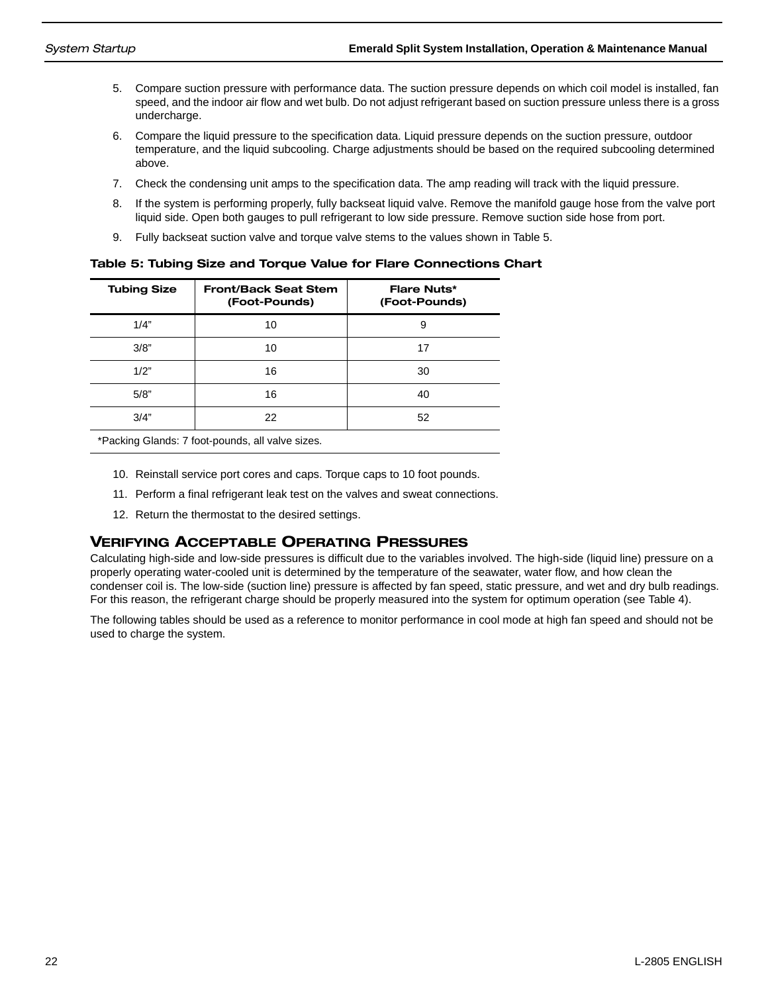- 5. Compare suction pressure with performance data. The suction pressure depends on which coil model is installed, fan speed, and the indoor air flow and wet bulb. Do not adjust refrigerant based on suction pressure unless there is a gross undercharge.
- 6. Compare the liquid pressure to the specification data. Liquid pressure depends on the suction pressure, outdoor temperature, and the liquid subcooling. Charge adjustments should be based on the required subcooling determined above.
- 7. Check the condensing unit amps to the specification data. The amp reading will track with the liquid pressure.
- 8. If the system is performing properly, fully backseat liquid valve. Remove the manifold gauge hose from the valve port liquid side. Open both gauges to pull refrigerant to low side pressure. Remove suction side hose from port.
- 9. Fully backseat suction valve and torque valve stems to the values shown in Table 5.

Table 5: Tubing Size and Torque Value for Flare Connections Chart

| <b>Tubing Size</b> | <b>Front/Back Seat Stem</b><br>(Foot-Pounds) | <b>Flare Nuts*</b><br>(Foot-Pounds) |
|--------------------|----------------------------------------------|-------------------------------------|
| 1/4"               | 10                                           | 9                                   |
| 3/8"               | 10                                           | 17                                  |
| 1/2"               | 16                                           | 30                                  |
| 5/8"               | 16                                           | 40                                  |
| 3/4"               | 22                                           | 52                                  |

\*Packing Glands: 7 foot-pounds, all valve sizes.

- 10. Reinstall service port cores and caps. Torque caps to 10 foot pounds.
- 11. Perform a final refrigerant leak test on the valves and sweat connections.
- 12. Return the thermostat to the desired settings.

### VERIFYING ACCEPTABLE OPERATING PRESSURES

Calculating high-side and low-side pressures is difficult due to the variables involved. The high-side (liquid line) pressure on a properly operating water-cooled unit is determined by the temperature of the seawater, water flow, and how clean the condenser coil is. The low-side (suction line) pressure is affected by fan speed, static pressure, and wet and dry bulb readings. For this reason, the refrigerant charge should be properly measured into the system for optimum operation (see Table 4).

The following tables should be used as a reference to monitor performance in cool mode at high fan speed and should not be used to charge the system.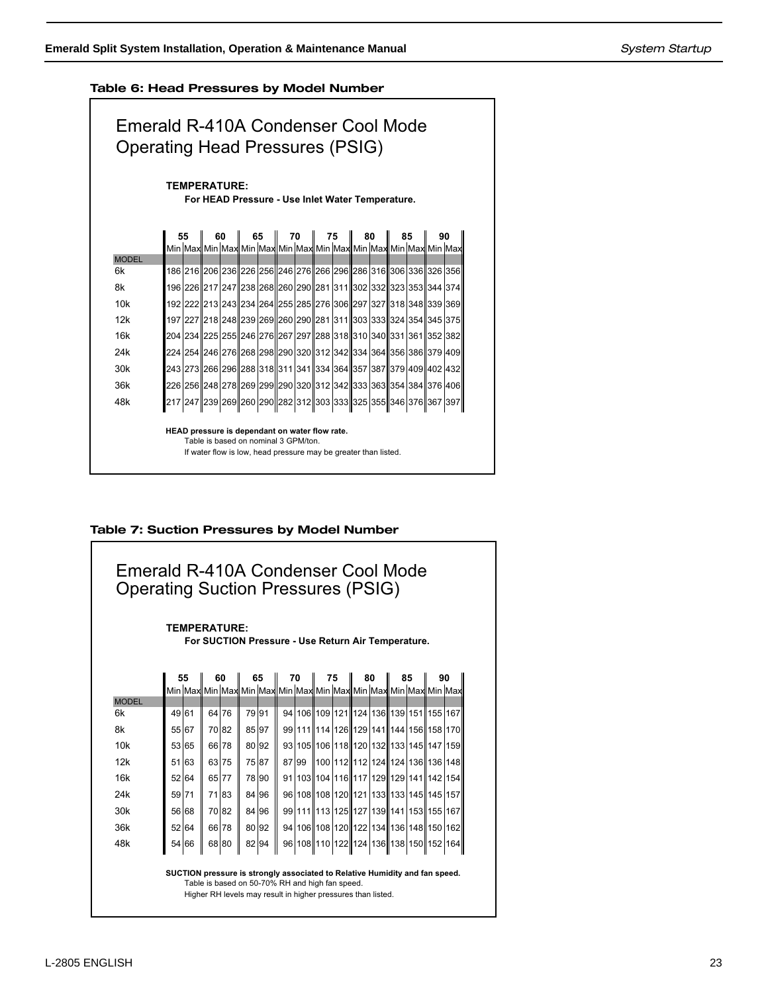75

 $\mathbf{I}$ 

### Table 6: Head Pressures by Model Number



### Table 7: Suction Pressures by Model Number

| <b>TEMPERATURE:</b><br>For SUCTION Pressure - Use Return Air Temperature. |       |       |                                                                 |       |       |       |  |       |    |    |                                                  |    |
|---------------------------------------------------------------------------|-------|-------|-----------------------------------------------------------------|-------|-------|-------|--|-------|----|----|--------------------------------------------------|----|
|                                                                           |       | 55    |                                                                 | 60    |       | 65    |  | 70    | 75 | 80 | 85                                               | 90 |
|                                                                           |       |       | Min Max Min Max Min Max Min Max Min Max Min Max Min Max Min Max |       |       |       |  |       |    |    |                                                  |    |
| <b>MODEL</b><br>6k                                                        | 49 61 |       | 64 76                                                           |       | 79 91 |       |  |       |    |    | 94 106 109 121 124 136 139 151 155 167           |    |
| 8k                                                                        |       | 55 67 |                                                                 | 70 82 |       | 85 97 |  |       |    |    | 99 111 14 126 129 141 144 156 158 170            |    |
| 10k                                                                       |       |       |                                                                 |       |       |       |  |       |    |    |                                                  |    |
|                                                                           |       | 53 65 |                                                                 | 66 78 |       | 80 92 |  |       |    |    | 93 105 106 118 120 132 133 145 147 159           |    |
| 12k                                                                       |       | 51 63 |                                                                 | 63 75 |       | 75 87 |  | 87 99 |    |    | 100   112    112   124    124   136    136   148 |    |
| 16k                                                                       | 52    | 64    |                                                                 | 65 77 |       | 78 90 |  |       |    |    | 91 103 104 116 117 129 129 141 142 154           |    |
| 24k                                                                       | 59 71 |       |                                                                 | 71 83 |       | 84 96 |  |       |    |    | 96 108 108 120 121 133 133 145 145 157           |    |
| 30k                                                                       |       | 56 68 |                                                                 | 70 82 |       | 84 96 |  |       |    |    | 99 111 13 125 127 139 141 153 155 167            |    |
| 36k                                                                       |       | 52 64 |                                                                 | 66 78 |       | 80 92 |  |       |    |    | 94 106 108 120 122 134 136 148 150 162           |    |
| 48k                                                                       |       | 54 66 |                                                                 | 68 80 |       | 82 94 |  |       |    |    | 96 108 110 122 124 136 138 150 152 164           |    |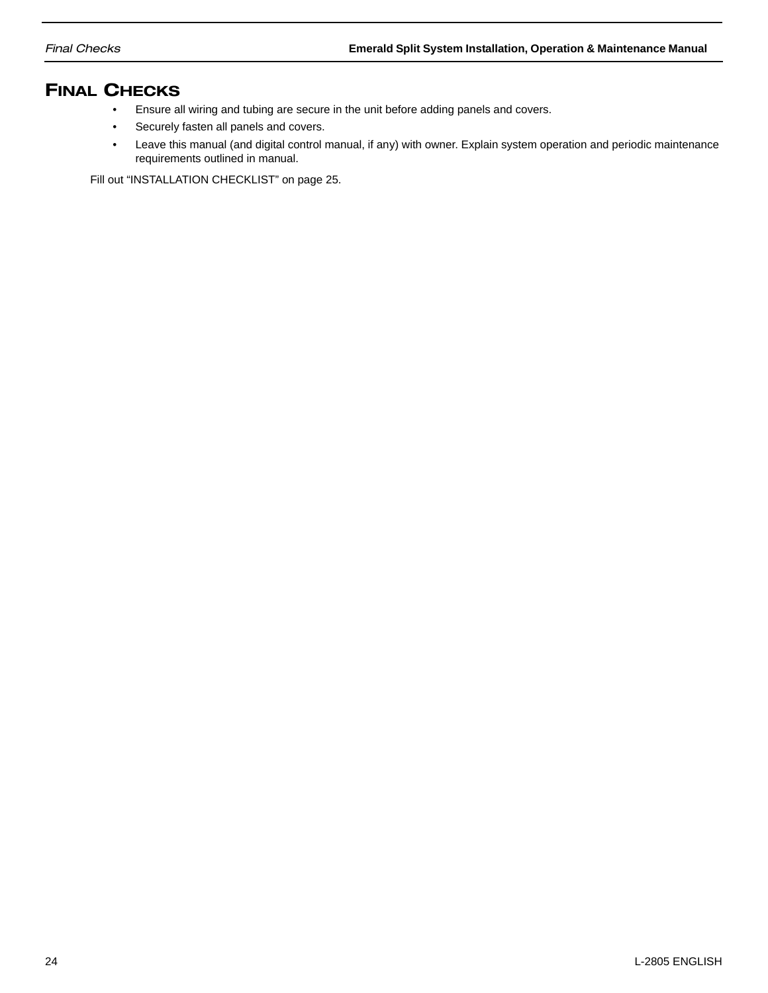## FINAL CHECKS

- Ensure all wiring and tubing are secure in the unit before adding panels and covers.
- Securely fasten all panels and covers.
- Leave this manual (and digital control manual, if any) with owner. Explain system operation and periodic maintenance requirements outlined in manual.

Fill out "INSTALLATION CHECKLIST" on page 25.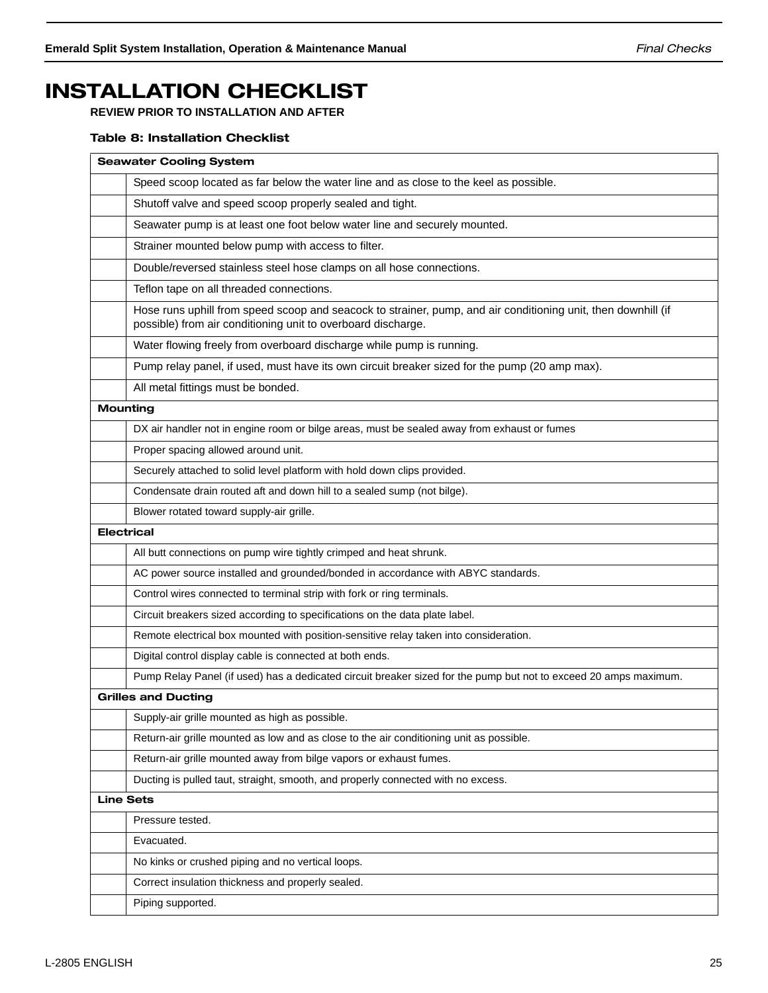## INSTALLATION CHECKLIST

**REVIEW PRIOR TO INSTALLATION AND AFTER**

### Table 8: Installation Checklist

| <b>Seawater Cooling System</b>                                                                                                                                                |
|-------------------------------------------------------------------------------------------------------------------------------------------------------------------------------|
| Speed scoop located as far below the water line and as close to the keel as possible.                                                                                         |
| Shutoff valve and speed scoop properly sealed and tight.                                                                                                                      |
| Seawater pump is at least one foot below water line and securely mounted.                                                                                                     |
| Strainer mounted below pump with access to filter.                                                                                                                            |
| Double/reversed stainless steel hose clamps on all hose connections.                                                                                                          |
| Teflon tape on all threaded connections.                                                                                                                                      |
| Hose runs uphill from speed scoop and seacock to strainer, pump, and air conditioning unit, then downhill (if<br>possible) from air conditioning unit to overboard discharge. |
| Water flowing freely from overboard discharge while pump is running.                                                                                                          |
| Pump relay panel, if used, must have its own circuit breaker sized for the pump (20 amp max).                                                                                 |
| All metal fittings must be bonded.                                                                                                                                            |
| <b>Mounting</b>                                                                                                                                                               |
| DX air handler not in engine room or bilge areas, must be sealed away from exhaust or fumes                                                                                   |
| Proper spacing allowed around unit.                                                                                                                                           |
| Securely attached to solid level platform with hold down clips provided.                                                                                                      |
| Condensate drain routed aft and down hill to a sealed sump (not bilge).                                                                                                       |
| Blower rotated toward supply-air grille.                                                                                                                                      |
| <b>Electrical</b>                                                                                                                                                             |
| All butt connections on pump wire tightly crimped and heat shrunk.                                                                                                            |
| AC power source installed and grounded/bonded in accordance with ABYC standards.                                                                                              |
| Control wires connected to terminal strip with fork or ring terminals.                                                                                                        |
| Circuit breakers sized according to specifications on the data plate label.                                                                                                   |
| Remote electrical box mounted with position-sensitive relay taken into consideration.                                                                                         |
| Digital control display cable is connected at both ends.                                                                                                                      |
| Pump Relay Panel (if used) has a dedicated circuit breaker sized for the pump but not to exceed 20 amps maximum.                                                              |
| <b>Grilles and Ducting</b>                                                                                                                                                    |
| Supply-air grille mounted as high as possible.                                                                                                                                |
| Return-air grille mounted as low and as close to the air conditioning unit as possible.                                                                                       |
| Return-air grille mounted away from bilge vapors or exhaust fumes.                                                                                                            |
| Ducting is pulled taut, straight, smooth, and properly connected with no excess.                                                                                              |
| <b>Line Sets</b>                                                                                                                                                              |
| Pressure tested.                                                                                                                                                              |
| Evacuated.                                                                                                                                                                    |
| No kinks or crushed piping and no vertical loops.                                                                                                                             |
| Correct insulation thickness and properly sealed.                                                                                                                             |
| Piping supported.                                                                                                                                                             |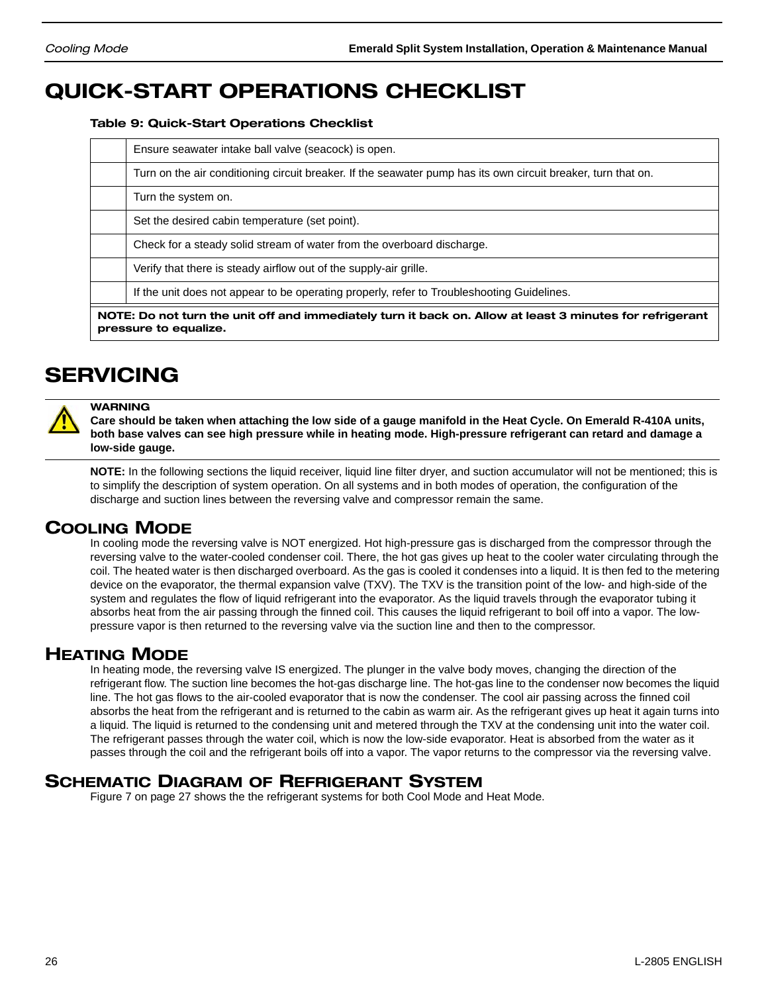## QUICK-START OPERATIONS CHECKLIST

Table 9: Quick-Start Operations Checklist

| Ensure seawater intake ball valve (seacock) is open.                                                                              |  |  |  |  |  |
|-----------------------------------------------------------------------------------------------------------------------------------|--|--|--|--|--|
| Turn on the air conditioning circuit breaker. If the seawater pump has its own circuit breaker, turn that on.                     |  |  |  |  |  |
| Turn the system on.                                                                                                               |  |  |  |  |  |
| Set the desired cabin temperature (set point).                                                                                    |  |  |  |  |  |
| Check for a steady solid stream of water from the overboard discharge.                                                            |  |  |  |  |  |
| Verify that there is steady airflow out of the supply-air grille.                                                                 |  |  |  |  |  |
| If the unit does not appear to be operating properly, refer to Troubleshooting Guidelines.                                        |  |  |  |  |  |
| NOTE: Do not turn the unit off and immediately turn it back on. Allow at least 3 minutes for refrigerant<br>pressure to equalize. |  |  |  |  |  |

## SERVICING



**WARNING Care should be taken when attaching the low side of a gauge manifold in the Heat Cycle. On Emerald R-410A units, both base valves can see high pressure while in heating mode. High-pressure refrigerant can retard and damage a low-side gauge.** 

**NOTE:** In the following sections the liquid receiver, liquid line filter dryer, and suction accumulator will not be mentioned; this is to simplify the description of system operation. On all systems and in both modes of operation, the configuration of the discharge and suction lines between the reversing valve and compressor remain the same.

## COOLING MODE

In cooling mode the reversing valve is NOT energized. Hot high-pressure gas is discharged from the compressor through the reversing valve to the water-cooled condenser coil. There, the hot gas gives up heat to the cooler water circulating through the coil. The heated water is then discharged overboard. As the gas is cooled it condenses into a liquid. It is then fed to the metering device on the evaporator, the thermal expansion valve (TXV). The TXV is the transition point of the low- and high-side of the system and regulates the flow of liquid refrigerant into the evaporator. As the liquid travels through the evaporator tubing it absorbs heat from the air passing through the finned coil. This causes the liquid refrigerant to boil off into a vapor. The lowpressure vapor is then returned to the reversing valve via the suction line and then to the compressor.

## HEATING MODE

In heating mode, the reversing valve IS energized. The plunger in the valve body moves, changing the direction of the refrigerant flow. The suction line becomes the hot-gas discharge line. The hot-gas line to the condenser now becomes the liquid line. The hot gas flows to the air-cooled evaporator that is now the condenser. The cool air passing across the finned coil absorbs the heat from the refrigerant and is returned to the cabin as warm air. As the refrigerant gives up heat it again turns into a liquid. The liquid is returned to the condensing unit and metered through the TXV at the condensing unit into the water coil. The refrigerant passes through the water coil, which is now the low-side evaporator. Heat is absorbed from the water as it passes through the coil and the refrigerant boils off into a vapor. The vapor returns to the compressor via the reversing valve.

## SCHEMATIC DIAGRAM OF REFRIGERANT SYSTEM

Figure 7 on page 27 shows the the refrigerant systems for both Cool Mode and Heat Mode.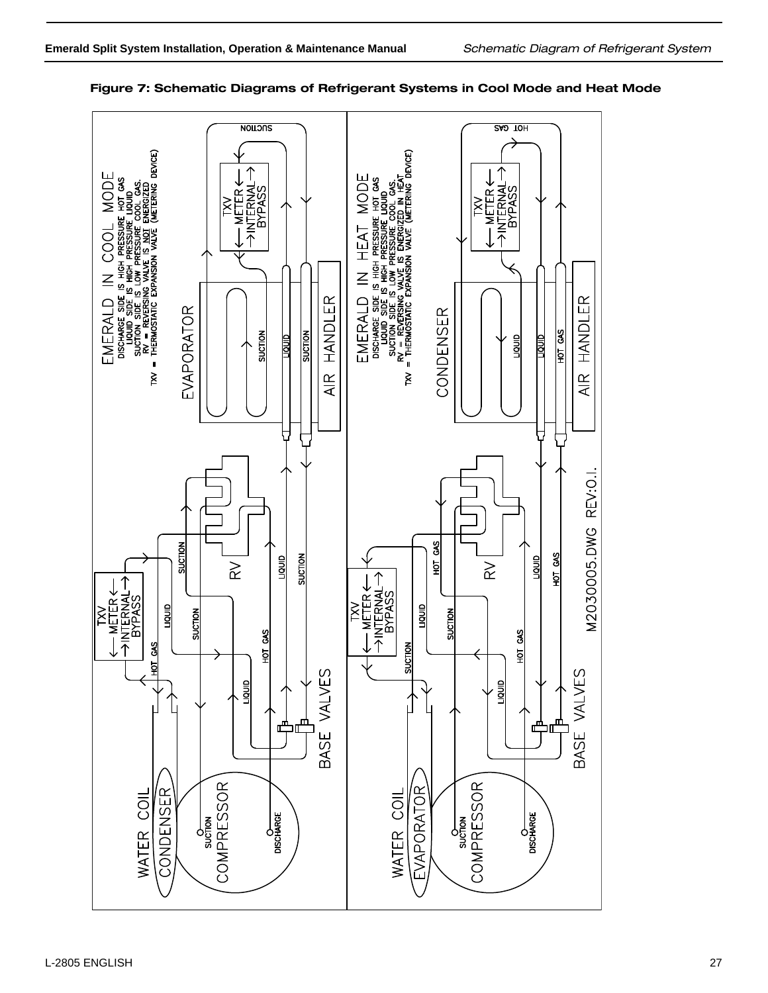

### Figure 7: Schematic Diagrams of Refrigerant Systems in Cool Mode and Heat Mode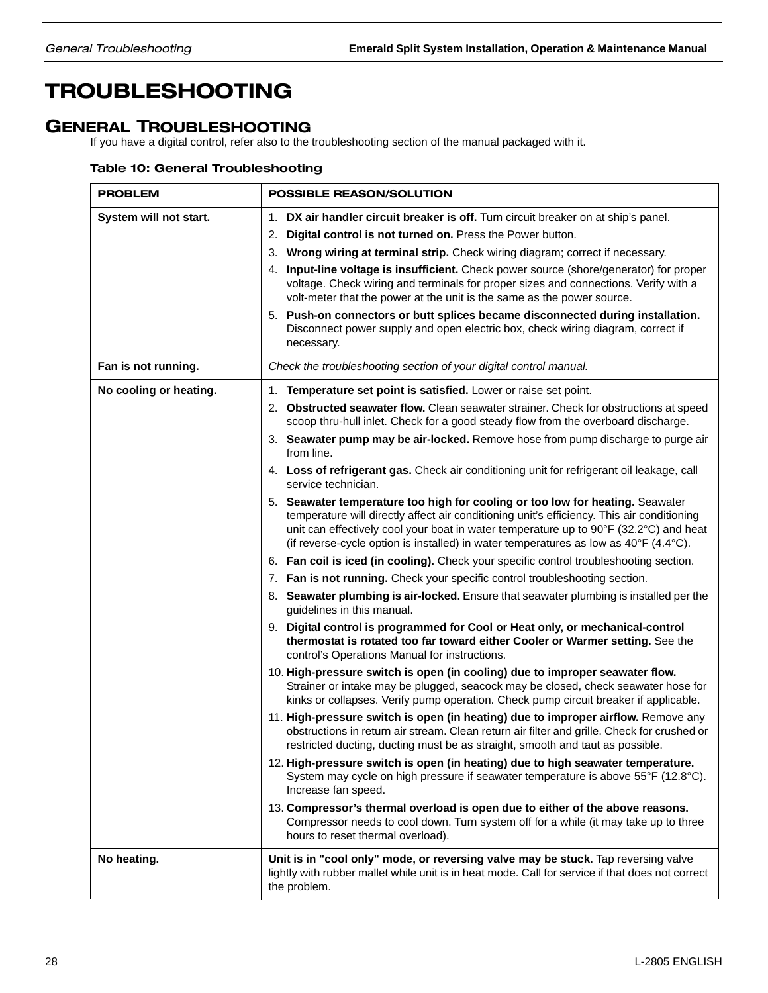## TROUBLESHOOTING

## GENERAL TROUBLESHOOTING

If you have a digital control, refer also to the troubleshooting section of the manual packaged with it.

### Table 10: General Troubleshooting

| <b>PROBLEM</b>         | <b>POSSIBLE REASON/SOLUTION</b>                                                                                                                                                                                                                                                                                                                                                                                                                                                                                                                                                                                                                                                                                                                                                                                                                                                                                                                                                                                                                                                                                                                                                                                                                                                                                                                                                                                                                                                                                                                                                                                                                                                                                                                                                                                                                                                                                                                                                                                                                                                                                                                                                                                                                                                                        |
|------------------------|--------------------------------------------------------------------------------------------------------------------------------------------------------------------------------------------------------------------------------------------------------------------------------------------------------------------------------------------------------------------------------------------------------------------------------------------------------------------------------------------------------------------------------------------------------------------------------------------------------------------------------------------------------------------------------------------------------------------------------------------------------------------------------------------------------------------------------------------------------------------------------------------------------------------------------------------------------------------------------------------------------------------------------------------------------------------------------------------------------------------------------------------------------------------------------------------------------------------------------------------------------------------------------------------------------------------------------------------------------------------------------------------------------------------------------------------------------------------------------------------------------------------------------------------------------------------------------------------------------------------------------------------------------------------------------------------------------------------------------------------------------------------------------------------------------------------------------------------------------------------------------------------------------------------------------------------------------------------------------------------------------------------------------------------------------------------------------------------------------------------------------------------------------------------------------------------------------------------------------------------------------------------------------------------------------|
| System will not start. | 1. DX air handler circuit breaker is off. Turn circuit breaker on at ship's panel.<br>2. Digital control is not turned on. Press the Power button.<br>3. Wrong wiring at terminal strip. Check wiring diagram; correct if necessary.<br>4. Input-line voltage is insufficient. Check power source (shore/generator) for proper<br>voltage. Check wiring and terminals for proper sizes and connections. Verify with a<br>volt-meter that the power at the unit is the same as the power source.<br>5. Push-on connectors or butt splices became disconnected during installation.<br>Disconnect power supply and open electric box, check wiring diagram, correct if<br>necessary.                                                                                                                                                                                                                                                                                                                                                                                                                                                                                                                                                                                                                                                                                                                                                                                                                                                                                                                                                                                                                                                                                                                                                                                                                                                                                                                                                                                                                                                                                                                                                                                                                     |
| Fan is not running.    | Check the troubleshooting section of your digital control manual.                                                                                                                                                                                                                                                                                                                                                                                                                                                                                                                                                                                                                                                                                                                                                                                                                                                                                                                                                                                                                                                                                                                                                                                                                                                                                                                                                                                                                                                                                                                                                                                                                                                                                                                                                                                                                                                                                                                                                                                                                                                                                                                                                                                                                                      |
| No cooling or heating. | 1. Temperature set point is satisfied. Lower or raise set point.<br>2. Obstructed seawater flow. Clean seawater strainer. Check for obstructions at speed<br>scoop thru-hull inlet. Check for a good steady flow from the overboard discharge.<br>3. Seawater pump may be air-locked. Remove hose from pump discharge to purge air<br>from line.<br>4. Loss of refrigerant gas. Check air conditioning unit for refrigerant oil leakage, call<br>service technician.<br>5. Seawater temperature too high for cooling or too low for heating. Seawater<br>temperature will directly affect air conditioning unit's efficiency. This air conditioning<br>unit can effectively cool your boat in water temperature up to 90°F (32.2°C) and heat<br>(if reverse-cycle option is installed) in water temperatures as low as 40°F (4.4°C).<br>6. Fan coil is iced (in cooling). Check your specific control troubleshooting section.<br>7. Fan is not running. Check your specific control troubleshooting section.<br>8. Seawater plumbing is air-locked. Ensure that seawater plumbing is installed per the<br>guidelines in this manual.<br>9. Digital control is programmed for Cool or Heat only, or mechanical-control<br>thermostat is rotated too far toward either Cooler or Warmer setting. See the<br>control's Operations Manual for instructions.<br>10. High-pressure switch is open (in cooling) due to improper seawater flow.<br>Strainer or intake may be plugged, seacock may be closed, check seawater hose for<br>kinks or collapses. Verify pump operation. Check pump circuit breaker if applicable.<br>11. High-pressure switch is open (in heating) due to improper airflow. Remove any<br>obstructions in return air stream. Clean return air filter and grille. Check for crushed or<br>restricted ducting, ducting must be as straight, smooth and taut as possible.<br>12. High-pressure switch is open (in heating) due to high seawater temperature.<br>System may cycle on high pressure if seawater temperature is above 55°F (12.8°C).<br>Increase fan speed.<br>13. Compressor's thermal overload is open due to either of the above reasons.<br>Compressor needs to cool down. Turn system off for a while (it may take up to three<br>hours to reset thermal overload). |
| No heating.            | Unit is in "cool only" mode, or reversing valve may be stuck. Tap reversing valve<br>lightly with rubber mallet while unit is in heat mode. Call for service if that does not correct<br>the problem.                                                                                                                                                                                                                                                                                                                                                                                                                                                                                                                                                                                                                                                                                                                                                                                                                                                                                                                                                                                                                                                                                                                                                                                                                                                                                                                                                                                                                                                                                                                                                                                                                                                                                                                                                                                                                                                                                                                                                                                                                                                                                                  |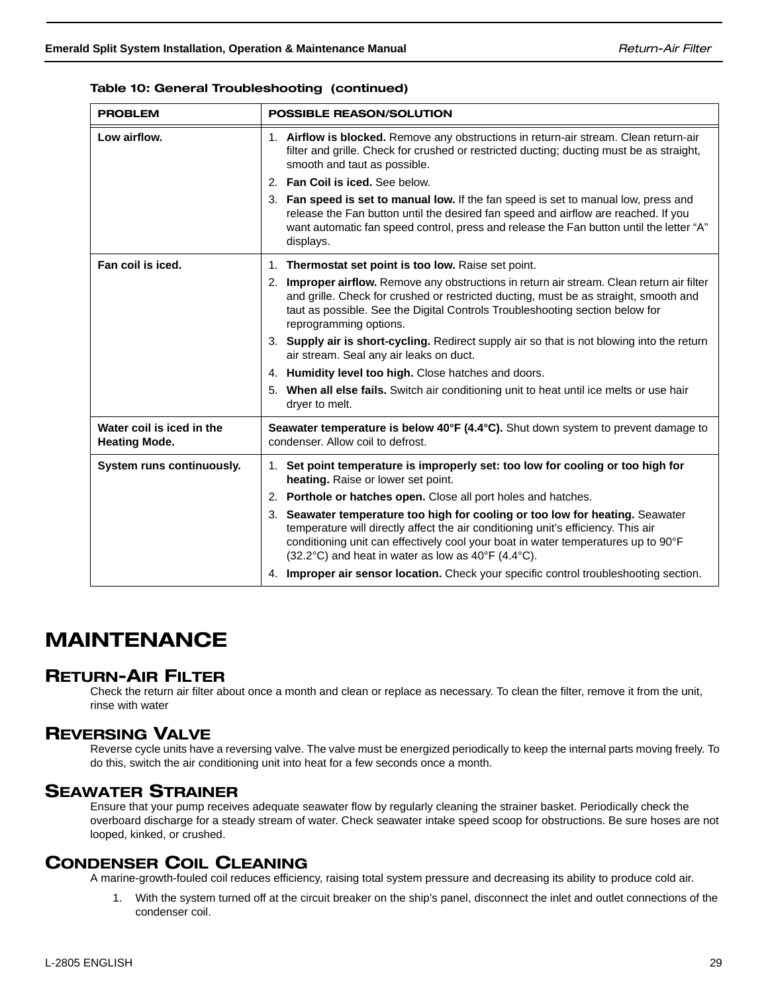| <b>PROBLEM</b> | <b>POSSIBLE REASON/SOLUTION</b>                                                                                                                                                                                       |  |
|----------------|-----------------------------------------------------------------------------------------------------------------------------------------------------------------------------------------------------------------------|--|
| Low airflow.   | <b>Airflow is blocked.</b> Remove any obstructions in return-air stream. Clean return-air<br>filter and grille. Check for crushed or restricted ducting; ducting must be as straight,<br>smooth and taut as possible. |  |

### Table 10: General Troubleshooting (continued)

|                                                   | mier and grille. Crieck for crushed or restricted ducting, ducting must be as straight,<br>smooth and taut as possible.                                                                                                                                                                                                   |  |
|---------------------------------------------------|---------------------------------------------------------------------------------------------------------------------------------------------------------------------------------------------------------------------------------------------------------------------------------------------------------------------------|--|
|                                                   | 2. Fan Coil is iced. See below.                                                                                                                                                                                                                                                                                           |  |
|                                                   | 3. Fan speed is set to manual low. If the fan speed is set to manual low, press and<br>release the Fan button until the desired fan speed and airflow are reached. If you<br>want automatic fan speed control, press and release the Fan button until the letter "A"<br>displays.                                         |  |
| Fan coil is iced.                                 | Thermostat set point is too low. Raise set point.<br>1.                                                                                                                                                                                                                                                                   |  |
|                                                   | 2. Improper airflow. Remove any obstructions in return air stream. Clean return air filter<br>and grille. Check for crushed or restricted ducting, must be as straight, smooth and<br>taut as possible. See the Digital Controls Troubleshooting section below for<br>reprogramming options.                              |  |
|                                                   | 3. Supply air is short-cycling. Redirect supply air so that is not blowing into the return<br>air stream. Seal any air leaks on duct.                                                                                                                                                                                     |  |
|                                                   | 4. Humidity level too high. Close hatches and doors.                                                                                                                                                                                                                                                                      |  |
|                                                   | When all else fails. Switch air conditioning unit to heat until ice melts or use hair<br>5.<br>dryer to melt.                                                                                                                                                                                                             |  |
| Water coil is iced in the<br><b>Heating Mode.</b> | <b>Seawater temperature is below 40°F (4.4°C).</b> Shut down system to prevent damage to<br>condenser. Allow coil to defrost.                                                                                                                                                                                             |  |
| System runs continuously.                         | 1. Set point temperature is improperly set: too low for cooling or too high for<br>heating. Raise or lower set point.                                                                                                                                                                                                     |  |
|                                                   | 2. Porthole or hatches open. Close all port holes and hatches.                                                                                                                                                                                                                                                            |  |
|                                                   | Seawater temperature too high for cooling or too low for heating. Seawater<br>3.<br>temperature will directly affect the air conditioning unit's efficiency. This air<br>conditioning unit can effectively cool your boat in water temperatures up to 90°F<br>$(32.2^{\circ}C)$ and heat in water as low as 40°F (4.4°C). |  |
|                                                   | 4. Improper air sensor location. Check your specific control troubleshooting section.                                                                                                                                                                                                                                     |  |

## MAINTENANCE

## RETURN-AIR FILTER

Check the return air filter about once a month and clean or replace as necessary. To clean the filter, remove it from the unit, rinse with water

## REVERSING VALVE

Reverse cycle units have a reversing valve. The valve must be energized periodically to keep the internal parts moving freely. To do this, switch the air conditioning unit into heat for a few seconds once a month.

### SEAWATER STRAINER

Ensure that your pump receives adequate seawater flow by regularly cleaning the strainer basket. Periodically check the overboard discharge for a steady stream of water. Check seawater intake speed scoop for obstructions. Be sure hoses are not looped, kinked, or crushed.

## CONDENSER COIL CLEANING

A marine-growth-fouled coil reduces efficiency, raising total system pressure and decreasing its ability to produce cold air.

1. With the system turned off at the circuit breaker on the ship's panel, disconnect the inlet and outlet connections of the condenser coil.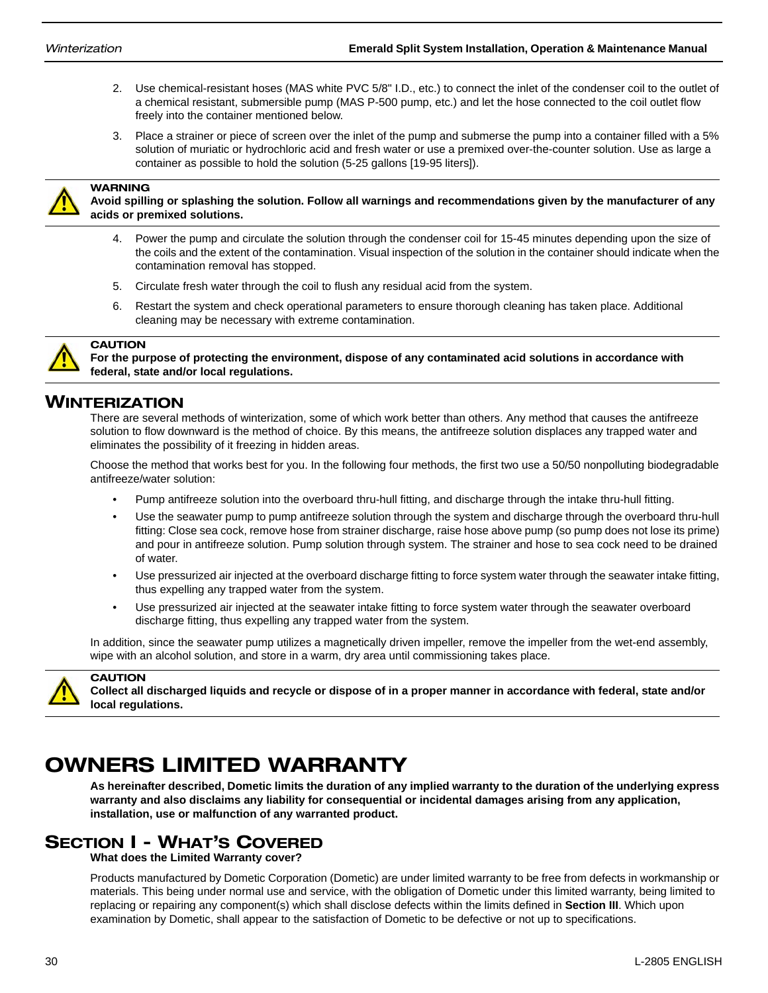- 2. Use chemical-resistant hoses (MAS white PVC 5/8" I.D., etc.) to connect the inlet of the condenser coil to the outlet of a chemical resistant, submersible pump (MAS P-500 pump, etc.) and let the hose connected to the coil outlet flow freely into the container mentioned below.
- 3. Place a strainer or piece of screen over the inlet of the pump and submerse the pump into a container filled with a 5% solution of muriatic or hydrochloric acid and fresh water or use a premixed over-the-counter solution. Use as large a container as possible to hold the solution (5-25 gallons [19-95 liters]).



WARNING **Avoid spilling or splashing the solution. Follow all warnings and recommendations given by the manufacturer of any acids or premixed solutions.**

- 4. Power the pump and circulate the solution through the condenser coil for 15-45 minutes depending upon the size of the coils and the extent of the contamination. Visual inspection of the solution in the container should indicate when the contamination removal has stopped.
- 5. Circulate fresh water through the coil to flush any residual acid from the system.
- 6. Restart the system and check operational parameters to ensure thorough cleaning has taken place. Additional cleaning may be necessary with extreme contamination.



**CAUTION** 

**For the purpose of protecting the environment, dispose of any contaminated acid solutions in accordance with federal, state and/or local regulations.**

## WINTERIZATION

There are several methods of winterization, some of which work better than others. Any method that causes the antifreeze solution to flow downward is the method of choice. By this means, the antifreeze solution displaces any trapped water and eliminates the possibility of it freezing in hidden areas.

Choose the method that works best for you. In the following four methods, the first two use a 50/50 nonpolluting biodegradable antifreeze/water solution:

- Pump antifreeze solution into the overboard thru-hull fitting, and discharge through the intake thru-hull fitting.
- Use the seawater pump to pump antifreeze solution through the system and discharge through the overboard thru-hull fitting: Close sea cock, remove hose from strainer discharge, raise hose above pump (so pump does not lose its prime) and pour in antifreeze solution. Pump solution through system. The strainer and hose to sea cock need to be drained of water.
- Use pressurized air injected at the overboard discharge fitting to force system water through the seawater intake fitting, thus expelling any trapped water from the system.
- Use pressurized air injected at the seawater intake fitting to force system water through the seawater overboard discharge fitting, thus expelling any trapped water from the system.

In addition, since the seawater pump utilizes a magnetically driven impeller, remove the impeller from the wet-end assembly, wipe with an alcohol solution, and store in a warm, dry area until commissioning takes place.



**CAUTION** 

**Collect all discharged liquids and recycle or dispose of in a proper manner in accordance with federal, state and/or local regulations.**

## OWNERS LIMITED WARRANTY

**As hereinafter described, Dometic limits the duration of any implied warranty to the duration of the underlying express warranty and also disclaims any liability for consequential or incidental damages arising from any application, installation, use or malfunction of any warranted product.**

## SECTION I - WHAT'S COVERED

**What does the Limited Warranty cover?**

Products manufactured by Dometic Corporation (Dometic) are under limited warranty to be free from defects in workmanship or materials. This being under normal use and service, with the obligation of Dometic under this limited warranty, being limited to replacing or repairing any component(s) which shall disclose defects within the limits defined in **Section III**. Which upon examination by Dometic, shall appear to the satisfaction of Dometic to be defective or not up to specifications.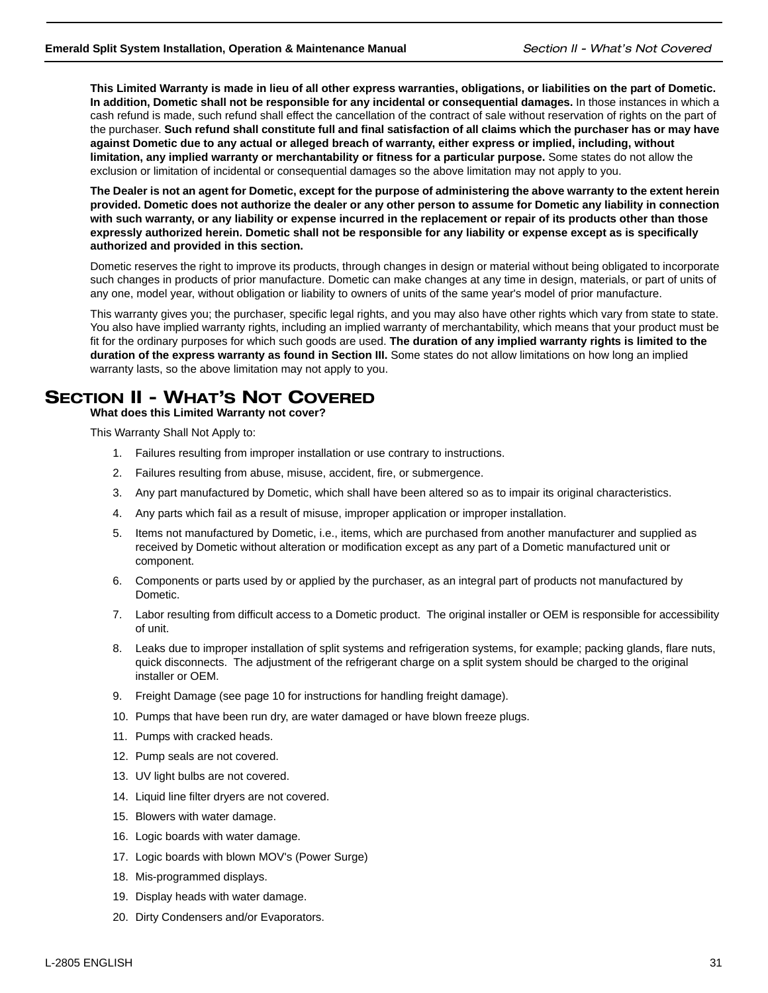**This Limited Warranty is made in lieu of all other express warranties, obligations, or liabilities on the part of Dometic. In addition, Dometic shall not be responsible for any incidental or consequential damages.** In those instances in which a cash refund is made, such refund shall effect the cancellation of the contract of sale without reservation of rights on the part of the purchaser. **Such refund shall constitute full and final satisfaction of all claims which the purchaser has or may have against Dometic due to any actual or alleged breach of warranty, either express or implied, including, without limitation, any implied warranty or merchantability or fitness for a particular purpose.** Some states do not allow the exclusion or limitation of incidental or consequential damages so the above limitation may not apply to you.

**The Dealer is not an agent for Dometic, except for the purpose of administering the above warranty to the extent herein provided. Dometic does not authorize the dealer or any other person to assume for Dometic any liability in connection with such warranty, or any liability or expense incurred in the replacement or repair of its products other than those expressly authorized herein. Dometic shall not be responsible for any liability or expense except as is specifically authorized and provided in this section.**

Dometic reserves the right to improve its products, through changes in design or material without being obligated to incorporate such changes in products of prior manufacture. Dometic can make changes at any time in design, materials, or part of units of any one, model year, without obligation or liability to owners of units of the same year's model of prior manufacture.

This warranty gives you; the purchaser, specific legal rights, and you may also have other rights which vary from state to state. You also have implied warranty rights, including an implied warranty of merchantability, which means that your product must be fit for the ordinary purposes for which such goods are used. **The duration of any implied warranty rights is limited to the duration of the express warranty as found in Section III.** Some states do not allow limitations on how long an implied warranty lasts, so the above limitation may not apply to you.

## SECTION II - WHAT'S NOT COVERED

**What does this Limited Warranty not cover?** 

This Warranty Shall Not Apply to:

- 1. Failures resulting from improper installation or use contrary to instructions.
- 2. Failures resulting from abuse, misuse, accident, fire, or submergence.
- 3. Any part manufactured by Dometic, which shall have been altered so as to impair its original characteristics.
- 4. Any parts which fail as a result of misuse, improper application or improper installation.
- 5. Items not manufactured by Dometic, i.e., items, which are purchased from another manufacturer and supplied as received by Dometic without alteration or modification except as any part of a Dometic manufactured unit or component.
- 6. Components or parts used by or applied by the purchaser, as an integral part of products not manufactured by Dometic.
- 7. Labor resulting from difficult access to a Dometic product. The original installer or OEM is responsible for accessibility of unit.
- 8. Leaks due to improper installation of split systems and refrigeration systems, for example; packing glands, flare nuts, quick disconnects. The adjustment of the refrigerant charge on a split system should be charged to the original installer or OEM.
- 9. Freight Damage (see page 10 for instructions for handling freight damage).
- 10. Pumps that have been run dry, are water damaged or have blown freeze plugs.
- 11. Pumps with cracked heads.
- 12. Pump seals are not covered.
- 13. UV light bulbs are not covered.
- 14. Liquid line filter dryers are not covered.
- 15. Blowers with water damage.
- 16. Logic boards with water damage.
- 17. Logic boards with blown MOV's (Power Surge)
- 18. Mis-programmed displays.
- 19. Display heads with water damage.
- 20. Dirty Condensers and/or Evaporators.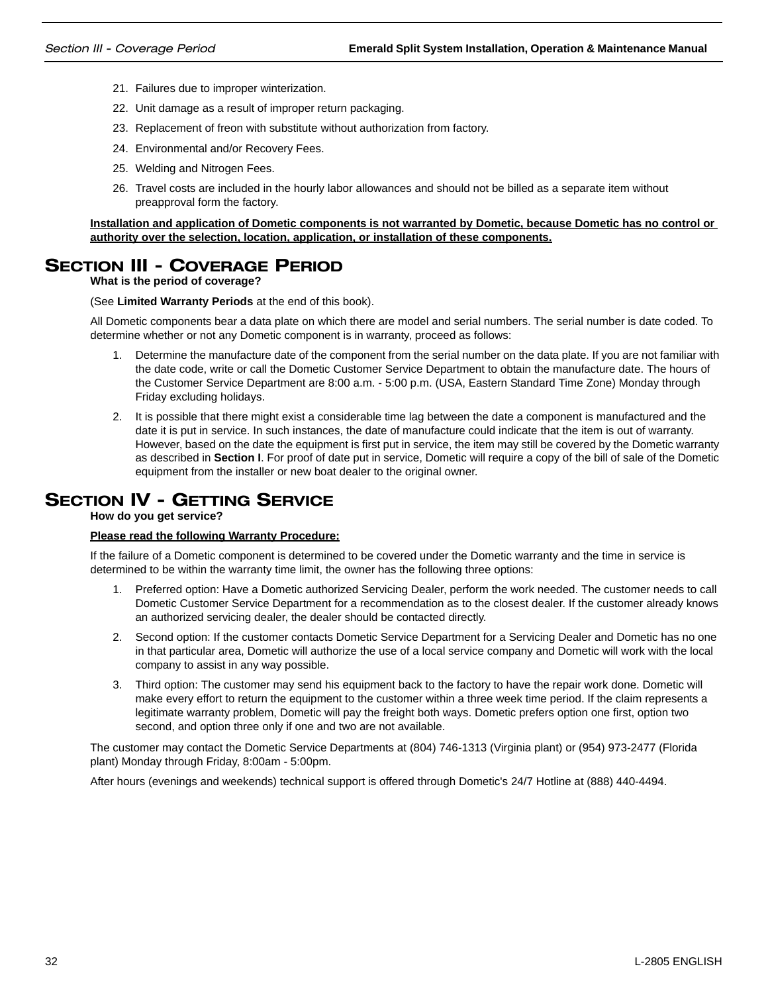- 21. Failures due to improper winterization.
- 22. Unit damage as a result of improper return packaging.
- 23. Replacement of freon with substitute without authorization from factory.
- 24. Environmental and/or Recovery Fees.
- 25. Welding and Nitrogen Fees.
- 26. Travel costs are included in the hourly labor allowances and should not be billed as a separate item without preapproval form the factory.

### **Installation and application of Dometic components is not warranted by Dometic, because Dometic has no control or authority over the selection, location, application, or installation of these components.**

## SECTION III - COVERAGE PERIOD

**What is the period of coverage?**

(See **Limited Warranty Periods** at the end of this book).

All Dometic components bear a data plate on which there are model and serial numbers. The serial number is date coded. To determine whether or not any Dometic component is in warranty, proceed as follows:

- 1. Determine the manufacture date of the component from the serial number on the data plate. If you are not familiar with the date code, write or call the Dometic Customer Service Department to obtain the manufacture date. The hours of the Customer Service Department are 8:00 a.m. - 5:00 p.m. (USA, Eastern Standard Time Zone) Monday through Friday excluding holidays.
- 2. It is possible that there might exist a considerable time lag between the date a component is manufactured and the date it is put in service. In such instances, the date of manufacture could indicate that the item is out of warranty. However, based on the date the equipment is first put in service, the item may still be covered by the Dometic warranty as described in **Section I**. For proof of date put in service, Dometic will require a copy of the bill of sale of the Dometic equipment from the installer or new boat dealer to the original owner.

## **SECTION IV - GETTING SERVICE**

**How do you get service?** 

### **Please read the following Warranty Procedure:**

If the failure of a Dometic component is determined to be covered under the Dometic warranty and the time in service is determined to be within the warranty time limit, the owner has the following three options:

- 1. Preferred option: Have a Dometic authorized Servicing Dealer, perform the work needed. The customer needs to call Dometic Customer Service Department for a recommendation as to the closest dealer. If the customer already knows an authorized servicing dealer, the dealer should be contacted directly.
- 2. Second option: If the customer contacts Dometic Service Department for a Servicing Dealer and Dometic has no one in that particular area, Dometic will authorize the use of a local service company and Dometic will work with the local company to assist in any way possible.
- 3. Third option: The customer may send his equipment back to the factory to have the repair work done. Dometic will make every effort to return the equipment to the customer within a three week time period. If the claim represents a legitimate warranty problem, Dometic will pay the freight both ways. Dometic prefers option one first, option two second, and option three only if one and two are not available.

The customer may contact the Dometic Service Departments at (804) 746-1313 (Virginia plant) or (954) 973-2477 (Florida plant) Monday through Friday, 8:00am - 5:00pm.

After hours (evenings and weekends) technical support is offered through Dometic's 24/7 Hotline at (888) 440-4494.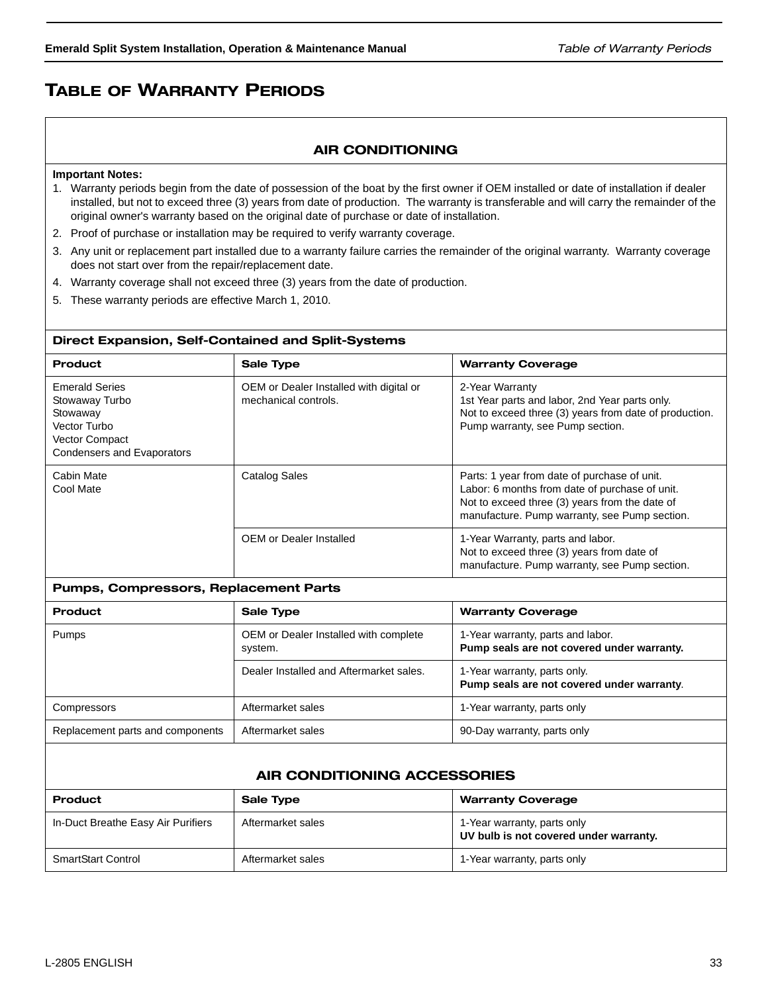## TABLE OF WARRANTY PERIODS

### AIR CONDITIONING

#### **Important Notes:**

- 1. Warranty periods begin from the date of possession of the boat by the first owner if OEM installed or date of installation if dealer installed, but not to exceed three (3) years from date of production. The warranty is transferable and will carry the remainder of the original owner's warranty based on the original date of purchase or date of installation.
- 2. Proof of purchase or installation may be required to verify warranty coverage.
- 3. Any unit or replacement part installed due to a warranty failure carries the remainder of the original warranty. Warranty coverage does not start over from the repair/replacement date.
- 4. Warranty coverage shall not exceed three (3) years from the date of production.
- 5. These warranty periods are effective March 1, 2010.

#### Direct Expansion, Self-Contained and Split-Systems

| <b>Product</b>                                                                                                             | <b>Sale Type</b>                                                | <b>Warranty Coverage</b>                                                                                                                                                                          |
|----------------------------------------------------------------------------------------------------------------------------|-----------------------------------------------------------------|---------------------------------------------------------------------------------------------------------------------------------------------------------------------------------------------------|
| <b>Emerald Series</b><br>Stowaway Turbo<br>Stowaway<br>Vector Turbo<br><b>Vector Compact</b><br>Condensers and Evaporators | OEM or Dealer Installed with digital or<br>mechanical controls. | 2-Year Warranty<br>1st Year parts and labor, 2nd Year parts only.<br>Not to exceed three (3) years from date of production.<br>Pump warranty, see Pump section.                                   |
| Cabin Mate<br>Cool Mate                                                                                                    | <b>Catalog Sales</b>                                            | Parts: 1 year from date of purchase of unit.<br>Labor: 6 months from date of purchase of unit.<br>Not to exceed three (3) years from the date of<br>manufacture. Pump warranty, see Pump section. |
|                                                                                                                            | <b>OEM or Dealer Installed</b>                                  | 1-Year Warranty, parts and labor.<br>Not to exceed three (3) years from date of<br>manufacture. Pump warranty, see Pump section.                                                                  |

### Pumps, Compressors, Replacement Parts

| <b>Product</b>                   | <b>Sale Type</b>                                 | <b>Warranty Coverage</b>                                                        |
|----------------------------------|--------------------------------------------------|---------------------------------------------------------------------------------|
| <b>Pumps</b>                     | OEM or Dealer Installed with complete<br>system. | 1-Year warranty, parts and labor.<br>Pump seals are not covered under warranty. |
|                                  | Dealer Installed and Aftermarket sales.          | 1-Year warranty, parts only.<br>Pump seals are not covered under warranty.      |
| Compressors                      | Aftermarket sales                                | 1-Year warranty, parts only                                                     |
| Replacement parts and components | Aftermarket sales                                | 90-Day warranty, parts only                                                     |

### AIR CONDITIONING ACCESSORIES

| <b>Product</b>                     | <b>Sale Type</b>  | <b>Warranty Coverage</b>                                              |
|------------------------------------|-------------------|-----------------------------------------------------------------------|
| In-Duct Breathe Easy Air Purifiers | Aftermarket sales | 1-Year warranty, parts only<br>UV bulb is not covered under warranty. |
| <b>SmartStart Control</b>          | Aftermarket sales | 1-Year warranty, parts only                                           |